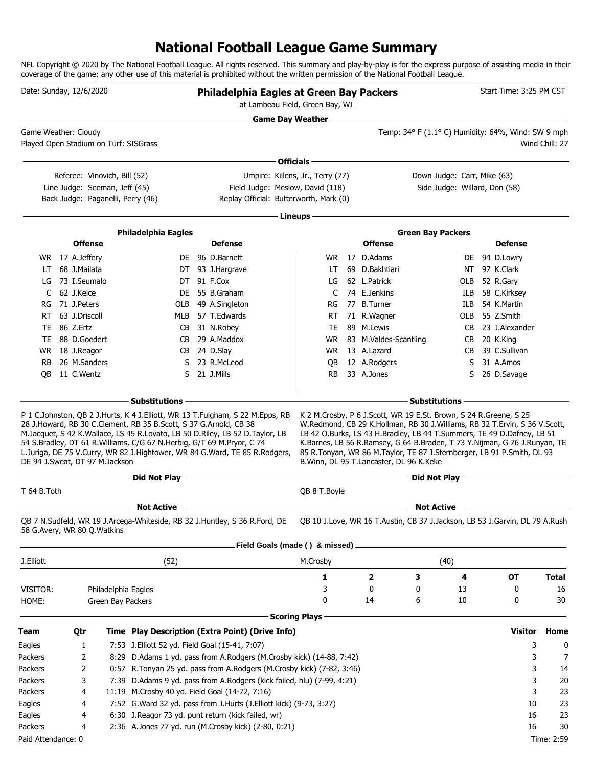# **National Football League Game Summary**

NFL Copyright © 2020 by The National Football League. All rights reserved. This summary and play-by-play is for the express purpose of assisting media in their coverage of the game; any other use of this material is prohibited without the written permission of the National Football League.

| Date: Sunday, 12/6/2020               |                                 |                     |                                                                       | Philadelphia Eagles at Green Bay Packers<br>at Lambeau Field, Green Bay, WI                                                                                |                                  |  |                                            |                                                                                                                                                                                                                               |     |              | Start Time: 3:25 PM CST        |                |
|---------------------------------------|---------------------------------|---------------------|-----------------------------------------------------------------------|------------------------------------------------------------------------------------------------------------------------------------------------------------|----------------------------------|--|--------------------------------------------|-------------------------------------------------------------------------------------------------------------------------------------------------------------------------------------------------------------------------------|-----|--------------|--------------------------------|----------------|
| Game Weather: Cloudy                  |                                 |                     |                                                                       |                                                                                                                                                            | <b>Game Day Weather --</b>       |  |                                            | Temp: 34° F (1.1° C) Humidity: 64%, Wind: SW 9 mph                                                                                                                                                                            |     |              |                                |                |
| Played Open Stadium on Turf: SISGrass |                                 |                     |                                                                       |                                                                                                                                                            |                                  |  |                                            |                                                                                                                                                                                                                               |     |              |                                | Wind Chill: 27 |
|                                       |                                 |                     |                                                                       |                                                                                                                                                            | - Officials -                    |  |                                            |                                                                                                                                                                                                                               |     |              |                                |                |
|                                       | Referee: Vinovich, Bill (52)    |                     |                                                                       |                                                                                                                                                            | Umpire: Killens, Jr., Terry (77) |  |                                            | Down Judge: Carr, Mike (63)                                                                                                                                                                                                   |     |              |                                |                |
|                                       | Line Judge: Seeman, Jeff (45)   |                     |                                                                       | Field Judge: Meslow, David (118)                                                                                                                           |                                  |  |                                            | Side Judge: Willard, Don (58)                                                                                                                                                                                                 |     |              |                                |                |
|                                       |                                 |                     | Back Judge: Paganelli, Perry (46)                                     | Replay Official: Butterworth, Mark (0)                                                                                                                     |                                  |  |                                            |                                                                                                                                                                                                                               |     |              |                                |                |
|                                       |                                 |                     |                                                                       |                                                                                                                                                            | Lineups -                        |  |                                            |                                                                                                                                                                                                                               |     |              |                                |                |
|                                       |                                 |                     |                                                                       |                                                                                                                                                            |                                  |  |                                            |                                                                                                                                                                                                                               |     |              |                                |                |
|                                       | <b>Offense</b>                  |                     | <b>Philadelphia Eagles</b>                                            | <b>Defense</b>                                                                                                                                             |                                  |  | <b>Offense</b>                             | <b>Green Bay Packers</b>                                                                                                                                                                                                      |     |              | <b>Defense</b>                 |                |
|                                       |                                 |                     |                                                                       | DE 96 D.Barnett                                                                                                                                            |                                  |  | 17 D.Adams                                 |                                                                                                                                                                                                                               |     |              |                                |                |
| LT.                                   | WR 17 A.Jeffery<br>68 J.Mailata |                     |                                                                       | DT 93 J.Hargrave                                                                                                                                           | WR.<br>LT                        |  | 69 D.Bakhtiari                             |                                                                                                                                                                                                                               |     |              | DE 94 D.Lowry<br>NT 97 K.Clark |                |
|                                       | LG 73 I.Seumalo                 |                     |                                                                       | DT 91 F.Cox                                                                                                                                                | LG                               |  | 62 L.Patrick                               |                                                                                                                                                                                                                               | OLB |              | 52 R.Gary                      |                |
| C                                     | 62 J.Kelce                      |                     |                                                                       | DE 55 B.Graham                                                                                                                                             | C                                |  | 74 E.Jenkins                               |                                                                                                                                                                                                                               | ILB |              | 58 C.Kirksey                   |                |
|                                       | RG 71 J.Peters                  |                     | OLB                                                                   | 49 A.Singleton                                                                                                                                             | RG                               |  | 77 B.Turner                                |                                                                                                                                                                                                                               | ILB |              | 54 K.Martin                    |                |
|                                       | RT 63 J.Driscoll                |                     | MLB                                                                   | 57 T.Edwards                                                                                                                                               | RT.                              |  | 71 R.Wagner                                |                                                                                                                                                                                                                               | OLB |              | 55 Z.Smith                     |                |
|                                       | TE 86 Z.Ertz                    |                     | CB                                                                    | 31 N.Robey                                                                                                                                                 | TE                               |  | 89 M.Lewis                                 |                                                                                                                                                                                                                               | CB. |              | 23 J.Alexander                 |                |
|                                       | TE 88 D.Goedert                 |                     | CB.                                                                   | 29 A.Maddox                                                                                                                                                | WR.                              |  | 83 M.Valdes-Scantling                      |                                                                                                                                                                                                                               |     | CB 20 K.King |                                |                |
|                                       | WR 18 J.Reagor                  |                     |                                                                       | CB 24 D.Slay                                                                                                                                               | WR.                              |  | 13 A.Lazard                                |                                                                                                                                                                                                                               | CB. |              | 39 C.Sullivan                  |                |
| <b>RB</b>                             | 26 M.Sanders                    |                     |                                                                       | S 23 R.McLeod                                                                                                                                              | QB                               |  | 12 A.Rodgers                               |                                                                                                                                                                                                                               | S.  |              | 31 A.Amos                      |                |
| OВ                                    | 11 C.Wentz                      |                     |                                                                       | S 21 J.Mills                                                                                                                                               | RB.                              |  | 33 A.Jones                                 |                                                                                                                                                                                                                               | S.  |              | 26 D.Savage                    |                |
| DE 94 J.Sweat, DT 97 M.Jackson        |                                 |                     | 54 S.Bradley, DT 61 R.Williams, C/G 67 N.Herbig, G/T 69 M.Pryor, C 74 | M.Jacquet, S 42 K.Wallace, LS 45 R.Lovato, LB 50 D.Riley, LB 52 D.Taylor, LB<br>L.Juriga, DE 75 V.Curry, WR 82 J.Hightower, WR 84 G.Ward, TE 85 R.Rodgers, |                                  |  | B. Winn, DL 95 T. Lancaster, DL 96 K. Keke | LB 42 O.Burks, LS 43 H.Bradley, LB 44 T.Summers, TE 49 D.Dafney, LB 51<br>K.Barnes, LB 56 R.Ramsey, G 64 B.Braden, T 73 Y.Nijman, G 76 J.Runyan, TE<br>85 R.Tonyan, WR 86 M.Taylor, TE 87 J.Sternberger, LB 91 P.Smith, DL 93 |     |              |                                |                |
|                                       |                                 |                     | Did Not Play -                                                        |                                                                                                                                                            |                                  |  |                                            | Did Not Play —                                                                                                                                                                                                                |     |              |                                |                |
| T 64 B. Toth                          |                                 |                     |                                                                       |                                                                                                                                                            | QB 8 T. Boyle                    |  |                                            |                                                                                                                                                                                                                               |     |              |                                |                |
|                                       |                                 |                     | <b>Not Active</b>                                                     |                                                                                                                                                            |                                  |  |                                            | <b>Not Active</b>                                                                                                                                                                                                             |     |              |                                |                |
| 58 G.Avery, WR 80 Q.Watkins           |                                 |                     |                                                                       | QB 7 N.Sudfeld, WR 19 J.Arcega-Whiteside, RB 32 J.Huntley, S 36 R.Ford, DE                                                                                 |                                  |  |                                            | OB 10 J.Love, WR 16 T.Austin, CB 37 J.Jackson, LB 53 J.Garvin, DL 79 A.Rush                                                                                                                                                   |     |              |                                |                |
|                                       |                                 |                     |                                                                       | Field Goals (made () & missed)                                                                                                                             |                                  |  |                                            |                                                                                                                                                                                                                               |     |              |                                |                |
| J.Elliott                             |                                 |                     | (52)                                                                  |                                                                                                                                                            | M.Crosby                         |  |                                            | (40)                                                                                                                                                                                                                          |     |              |                                |                |
|                                       |                                 |                     |                                                                       |                                                                                                                                                            | 1                                |  | 2                                          | з                                                                                                                                                                                                                             | 4   |              | OT                             | <b>Total</b>   |
| VISITOR:                              |                                 | Philadelphia Eagles |                                                                       |                                                                                                                                                            | 3                                |  | 0                                          | 0                                                                                                                                                                                                                             | 13  |              | 0                              | 16             |
| HOME:                                 |                                 | Green Bay Packers   |                                                                       |                                                                                                                                                            | 0                                |  | 14                                         | 6                                                                                                                                                                                                                             | 10  |              | 0                              | 30             |
|                                       |                                 |                     |                                                                       |                                                                                                                                                            | <b>Scoring Plays</b>             |  |                                            |                                                                                                                                                                                                                               |     |              |                                |                |
|                                       |                                 |                     |                                                                       |                                                                                                                                                            |                                  |  |                                            |                                                                                                                                                                                                                               |     |              |                                |                |
| <b>Team</b>                           | Qtr                             |                     |                                                                       | Time Play Description (Extra Point) (Drive Info)                                                                                                           |                                  |  |                                            |                                                                                                                                                                                                                               |     |              | <b>Visitor</b>                 | Home           |
| Eagles                                | 1                               |                     | 7:53 J. Elliott 52 yd. Field Goal (15-41, 7:07)                       |                                                                                                                                                            |                                  |  |                                            |                                                                                                                                                                                                                               |     |              | 3                              | 0              |
| Packers                               | 2                               |                     |                                                                       | 8:29 D.Adams 1 yd. pass from A.Rodgers (M.Crosby kick) (14-88, 7:42)                                                                                       |                                  |  |                                            |                                                                                                                                                                                                                               |     |              | 3                              | 7              |
| Packers                               | 2                               |                     |                                                                       | 0:57 R.Tonyan 25 yd. pass from A.Rodgers (M.Crosby kick) (7-82, 3:46)                                                                                      |                                  |  |                                            |                                                                                                                                                                                                                               |     |              | 3                              | 14             |
| Packers                               | 3                               |                     |                                                                       | 7:39 D.Adams 9 yd. pass from A.Rodgers (kick failed, hlu) (7-99, 4:21)                                                                                     |                                  |  |                                            |                                                                                                                                                                                                                               |     |              | 3                              | 20             |
| Packers                               | 4                               |                     |                                                                       | 11:19 M.Crosby 40 yd. Field Goal (14-72, 7:16)                                                                                                             |                                  |  |                                            |                                                                                                                                                                                                                               |     |              | 3                              | 23             |
| Eagles                                | 4                               |                     |                                                                       | 7:52 G. Ward 32 yd. pass from J. Hurts (J. Elliott kick) (9-73, 3:27)                                                                                      |                                  |  |                                            |                                                                                                                                                                                                                               |     |              | 10                             | 23             |
| Eagles                                | 4                               |                     |                                                                       | 6:30 J.Reagor 73 yd. punt return (kick failed, wr)                                                                                                         |                                  |  |                                            |                                                                                                                                                                                                                               |     |              | 16<br>16                       | 23             |
| Packers                               | 4                               |                     |                                                                       | 2:36 A.Jones 77 yd. run (M.Crosby kick) (2-80, 0:21)                                                                                                       |                                  |  |                                            |                                                                                                                                                                                                                               |     |              |                                | 30             |
| Paid Attendance: 0                    |                                 |                     |                                                                       |                                                                                                                                                            |                                  |  |                                            |                                                                                                                                                                                                                               |     |              |                                | Time: 2:59     |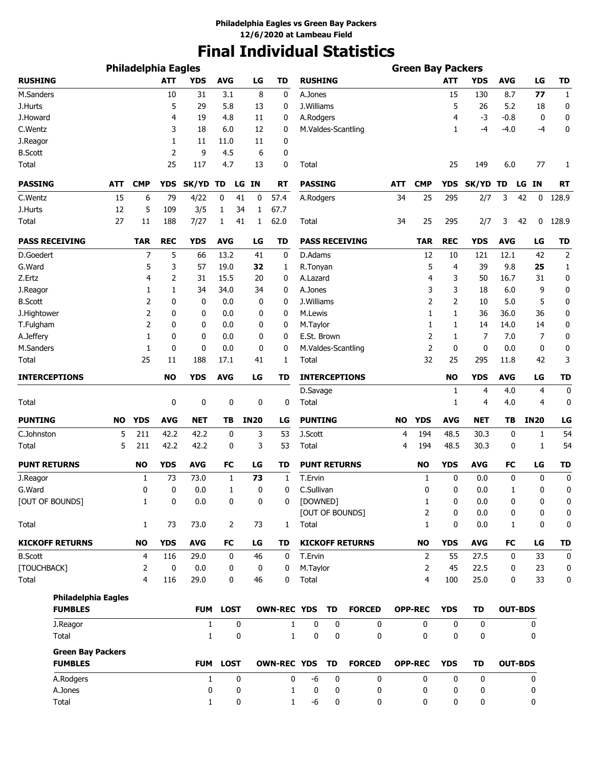# **Final Individual Statistics**

|                                            |            | <b>Philadelphia Eagles</b> |            |              |            |             |             |                    |                     |    |                        |     | <b>Green Bay Packers</b> |             |            |            |                |    |                |
|--------------------------------------------|------------|----------------------------|------------|--------------|------------|-------------|-------------|--------------------|---------------------|----|------------------------|-----|--------------------------|-------------|------------|------------|----------------|----|----------------|
| <b>RUSHING</b>                             |            |                            | <b>ATT</b> | <b>YDS</b>   | <b>AVG</b> |             | LG          | TD                 | <b>RUSHING</b>      |    |                        |     |                          | <b>ATT</b>  | <b>YDS</b> | AVG        | LG             |    | <b>TD</b>      |
| M.Sanders                                  |            |                            | 10         | 31           | 3.1        |             | 8           | 0                  | A.Jones             |    |                        |     |                          | 15          | 130        | 8.7        | 77             |    | $\mathbf{1}$   |
| J.Hurts                                    |            |                            | 5          | 29           | 5.8        |             | 13          | 0                  | J.Williams          |    |                        |     |                          | 5           | 26         | 5.2        |                | 18 | 0              |
| J.Howard                                   |            |                            | 4          | 19           | 4.8        |             | 11          | 0                  | A.Rodgers           |    |                        |     |                          | 4           | $-3$       | $-0.8$     |                | 0  | 0              |
| C.Wentz                                    |            |                            | 3          | 18           | 6.0        |             | 12          | 0                  |                     |    | M.Valdes-Scantling     |     |                          | 1           | $-4$       | $-4.0$     |                | -4 | 0              |
| J.Reagor                                   |            |                            | 1          | 11           | 11.0       |             | 11          | 0                  |                     |    |                        |     |                          |             |            |            |                |    |                |
| <b>B.Scott</b>                             |            |                            | 2          | 9            | 4.5        |             | 6           | 0                  |                     |    |                        |     |                          |             |            |            |                |    |                |
| <b>Total</b>                               |            |                            | 25         | 117          | 4.7        |             | 13          | 0                  | Total               |    |                        |     |                          | 25          | 149        | 6.0        |                | 77 | 1              |
| <b>PASSING</b>                             | <b>ATT</b> | <b>CMP</b>                 | <b>YDS</b> | SK/YD TD     |            |             | LG IN       | <b>RT</b>          | <b>PASSING</b>      |    |                        | ATT | <b>CMP</b>               | <b>YDS</b>  | SK/YD TD   |            | LG IN          |    | RT             |
| C.Wentz                                    | 15         | 6                          | 79         | 4/22         | 0          | 41          | 0           | 57.4               | A.Rodgers           |    |                        | 34  | 25                       | 295         | 2/7        | 3          | 42             | 0  | 128.9          |
| J.Hurts                                    | 12         | 5                          | 109        | 3/5          | 1          | 34          | 1           | 67.7               |                     |    |                        |     |                          |             |            |            |                |    |                |
| Total                                      | 27         | 11                         | 188        | 7/27         | 1          | 41          | 1           | 62.0               | Total               |    |                        | 34  | 25                       | 295         | 2/7        | 3          | 42             | 0  | 128.9          |
| <b>PASS RECEIVING</b>                      |            | <b>TAR</b>                 | <b>REC</b> | <b>YDS</b>   | <b>AVG</b> |             | LG          | TD                 |                     |    | <b>PASS RECEIVING</b>  |     | <b>TAR</b>               | <b>REC</b>  | <b>YDS</b> | <b>AVG</b> | LG             |    | <b>TD</b>      |
| D.Goedert                                  |            | 7                          | 5          | 66           | 13.2       |             | 41          | 0                  | D.Adams             |    |                        |     | 12                       | 10          | 121        | 12.1       | 42             |    | $\overline{2}$ |
| G.Ward                                     |            | 5                          | 3          | 57           | 19.0       |             | 32          | 1                  | R.Tonyan            |    |                        |     | 5                        | 4           | 39         | 9.8        | 25             |    | 1              |
| Z.Ertz                                     |            | 4                          | 2          | 31           | 15.5       |             | 20          | 0                  | A.Lazard            |    |                        |     | 4                        | 3           | 50         | 16.7       |                | 31 | 0              |
| J.Reagor                                   |            | 1                          | 1          | 34           | 34.0       |             | 34          | 0                  | A.Jones             |    |                        |     | 3                        | 3           | 18         | 6.0        |                | 9  | 0              |
| <b>B.Scott</b>                             |            | $\overline{2}$             | 0          | 0            | 0.0        |             | 0           | 0                  | J.Williams          |    |                        |     | $\overline{2}$           | 2           | 10         | 5.0        |                | 5  | 0              |
| J.Hightower                                |            | $\overline{2}$             | 0          | 0            | 0.0        |             | 0           | 0                  | M.Lewis             |    |                        |     | 1                        | 1           | 36         | 36.0       |                | 36 | 0              |
| T.Fulgham                                  |            | $\overline{2}$             | 0          | 0            | 0.0        |             | 0           | 0                  | M.Taylor            |    |                        |     | 1                        | 1           | 14         | 14.0       |                | 14 | 0              |
| A.Jeffery                                  |            | 1                          | 0          | 0            | 0.0        |             | 0           | 0                  | E.St. Brown         |    |                        |     | $\overline{2}$           | 1           | 7          | 7.0        |                | 7  | 0              |
| M.Sanders                                  |            | 1                          | 0          | 0            | 0.0        |             | 0           | 0                  |                     |    | M.Valdes-Scantling     |     | $\overline{2}$           | 0           | 0          | 0.0        |                | 0  | 0              |
| Total                                      |            | 25                         | 11         | 188          | 17.1       |             | 41          | 1                  | Total               |    |                        |     | 32                       | 25          | 295        | 11.8       |                | 42 | 3              |
| <b>INTERCEPTIONS</b>                       |            |                            | <b>NO</b>  | <b>YDS</b>   | <b>AVG</b> |             | LG          | TD                 |                     |    | <b>INTERCEPTIONS</b>   |     |                          | <b>NO</b>   | <b>YDS</b> | <b>AVG</b> | LG             |    | <b>TD</b>      |
|                                            |            |                            |            |              |            |             |             |                    | D.Savage            |    |                        |     |                          | 1           | 4          | 4.0        |                | 4  | 0              |
| Total                                      |            |                            | 0          | 0            |            | $\mathbf 0$ | 0           | 0                  | Total               |    |                        |     |                          | 1           | 4          | 4.0        |                | 4  | 0              |
| <b>PUNTING</b>                             | NO         | <b>YDS</b>                 | <b>AVG</b> | <b>NET</b>   | ΤВ         |             | <b>IN20</b> | LG                 | <b>PUNTING</b>      |    |                        | NO  | <b>YDS</b>               | <b>AVG</b>  | <b>NET</b> | TΒ         | <b>IN20</b>    |    | LG             |
| C.Johnston                                 | 5          | 211                        | 42.2       | 42.2         | 0          |             | 3           | 53                 | J.Scott             |    |                        | 4   | 194                      | 48.5        | 30.3       | 0          |                | 1  | 54             |
| Total                                      | 5          | 211                        | 42.2       | 42.2         |            | 0           | 3           | 53                 | Total               |    |                        | 4   | 194                      | 48.5        | 30.3       | 0          |                | 1  | 54             |
| <b>PUNT RETURNS</b>                        |            | <b>NO</b>                  | <b>YDS</b> | <b>AVG</b>   | <b>FC</b>  |             | LG          | TD                 | <b>PUNT RETURNS</b> |    |                        |     | <b>NO</b>                | <b>YDS</b>  | <b>AVG</b> | FC         | LG             |    | <b>TD</b>      |
| J.Reagor                                   |            | 1                          | 73         | 73.0         |            | 1           | 73          | 1                  | T.Ervin             |    |                        |     | 1                        | 0           | 0.0        | 0          |                | 0  | 0              |
| G.Ward                                     |            | 0                          | 0          | 0.0          |            | 1           | 0           | 0                  | C.Sullivan          |    |                        |     | 0                        | 0           | 0.0        | 1          |                | 0  | 0              |
| [OUT OF BOUNDS]                            |            | $\mathbf 1$                | 0          | 0.0          |            | 0           | 0           | 0                  | [DOWNED]            |    |                        |     | 1                        | 0           | 0.0        | 0          |                | 0  | 0              |
|                                            |            |                            |            |              |            |             |             |                    |                     |    | [OUT OF BOUNDS]        |     | $\overline{2}$           | 0           | 0.0        | 0          |                | 0  | 0              |
| Total                                      |            | 1                          | 73         | 73.0         |            | 2           | 73          | $\mathbf{1}$       | Total               |    |                        |     | $\mathbf{1}$             | 0           | 0.0        | 1          |                | 0  | 0              |
| <b>KICKOFF RETURNS</b>                     |            | <b>NO</b>                  | <b>YDS</b> | <b>AVG</b>   | FC         |             | LG          | TD                 |                     |    | <b>KICKOFF RETURNS</b> |     | <b>NO</b>                | <b>YDS</b>  | <b>AVG</b> | FC         | LG             |    | <b>TD</b>      |
| <b>B.Scott</b>                             |            | 4                          | 116        | 29.0         |            | 0           | 46          | 0                  | T.Ervin             |    |                        |     | 2                        | 55          | 27.5       | 0          | 33             |    | 0              |
| [TOUCHBACK]                                |            | 2                          | 0          | $0.0\,$      |            | 0           | 0           | 0                  | M.Taylor            |    |                        |     | 2                        | 45          | 22.5       | 0          | 23             |    | 0              |
| Total                                      |            | 4                          | 116        | 29.0         |            | 0           | 46          | 0                  | Total               |    |                        |     | $\overline{4}$           | 100         | 25.0       | 0          |                | 33 | 0              |
| <b>Philadelphia Eagles</b>                 |            |                            |            |              |            |             |             |                    |                     |    |                        |     |                          |             |            |            |                |    |                |
| <b>FUMBLES</b>                             |            |                            |            |              | FUM LOST   |             |             | <b>OWN-REC YDS</b> |                     | TD | <b>FORCED</b>          |     | <b>OPP-REC</b>           | <b>YDS</b>  | <b>TD</b>  |            | <b>OUT-BDS</b> |    |                |
| J.Reagor                                   |            |                            |            | 1            |            | 0           |             | 1                  | 0                   | 0  | 0                      |     | 0                        | $\mathbf 0$ | 0          |            | 0              |    |                |
| Total                                      |            |                            |            | 1            |            | 0           |             | 1                  | 0                   | 0  | 0                      |     | 0                        | 0           | 0          |            | 0              |    |                |
| <b>Green Bay Packers</b><br><b>FUMBLES</b> |            |                            |            |              | FUM LOST   |             |             | <b>OWN-REC YDS</b> |                     | TD | <b>FORCED</b>          |     | <b>OPP-REC</b>           | <b>YDS</b>  | <b>TD</b>  |            | <b>OUT-BDS</b> |    |                |
| A.Rodgers                                  |            |                            |            | $\mathbf{1}$ |            | 0           |             | 0                  | -6                  | 0  | 0                      |     | 0                        | 0           | 0          |            | 0              |    |                |
| A.Jones                                    |            |                            |            | 0            |            | 0           |             | 1                  | 0                   | 0  | 0                      |     | 0                        | 0           | 0          |            | 0              |    |                |
| Total                                      |            |                            |            | 1            |            | 0           |             | 1                  | -6                  | 0  | 0                      |     | 0                        | 0           | 0          |            | 0              |    |                |
|                                            |            |                            |            |              |            |             |             |                    |                     |    |                        |     |                          |             |            |            |                |    |                |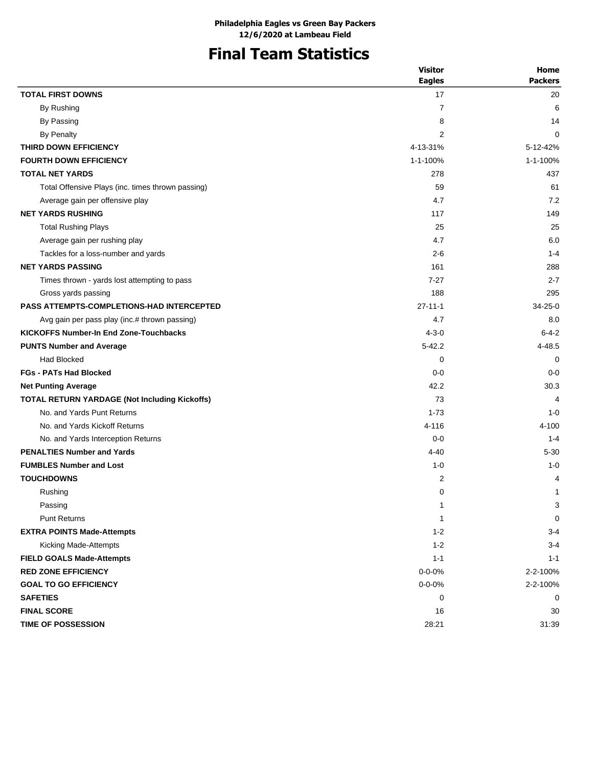# **Final Team Statistics**

|                                                   | <b>Visitor</b> | Home           |
|---------------------------------------------------|----------------|----------------|
|                                                   | <b>Eagles</b>  | <b>Packers</b> |
| <b>TOTAL FIRST DOWNS</b>                          | 17             | 20             |
| By Rushing                                        | $\overline{7}$ | 6              |
| By Passing                                        | 8              | 14             |
| <b>By Penalty</b>                                 | 2              | 0              |
| THIRD DOWN EFFICIENCY                             | 4-13-31%       | 5-12-42%       |
| <b>FOURTH DOWN EFFICIENCY</b>                     | 1-1-100%       | 1-1-100%       |
| <b>TOTAL NET YARDS</b>                            | 278            | 437            |
| Total Offensive Plays (inc. times thrown passing) | 59             | 61             |
| Average gain per offensive play                   | 4.7            | 7.2            |
| <b>NET YARDS RUSHING</b>                          | 117            | 149            |
| <b>Total Rushing Plays</b>                        | 25             | 25             |
| Average gain per rushing play                     | 4.7            | 6.0            |
| Tackles for a loss-number and yards               | $2 - 6$        | $1 - 4$        |
| <b>NET YARDS PASSING</b>                          | 161            | 288            |
| Times thrown - yards lost attempting to pass      | $7 - 27$       | $2 - 7$        |
| Gross yards passing                               | 188            | 295            |
| <b>PASS ATTEMPTS-COMPLETIONS-HAD INTERCEPTED</b>  | $27 - 11 - 1$  | $34 - 25 - 0$  |
| Avg gain per pass play (inc.# thrown passing)     | 4.7            | 8.0            |
| <b>KICKOFFS Number-In End Zone-Touchbacks</b>     | $4 - 3 - 0$    | $6 - 4 - 2$    |
| <b>PUNTS Number and Average</b>                   | $5 - 42.2$     | 4-48.5         |
| <b>Had Blocked</b>                                | 0              | 0              |
| <b>FGs - PATs Had Blocked</b>                     | $0 - 0$        | $0 - 0$        |
| <b>Net Punting Average</b>                        | 42.2           | 30.3           |
| TOTAL RETURN YARDAGE (Not Including Kickoffs)     | 73             | 4              |
| No. and Yards Punt Returns                        | $1 - 73$       | $1 - 0$        |
| No. and Yards Kickoff Returns                     | 4-116          | 4-100          |
| No. and Yards Interception Returns                | $0 - 0$        | $1 - 4$        |
| <b>PENALTIES Number and Yards</b>                 | $4 - 40$       | $5 - 30$       |
| <b>FUMBLES Number and Lost</b>                    | $1 - 0$        | $1 - 0$        |
| <b>TOUCHDOWNS</b>                                 | $\overline{c}$ | 4              |
| Rushing                                           | 0              | 1              |
| Passing                                           | 1              | 3              |
| Punt Returns                                      | 1              | 0              |
| <b>EXTRA POINTS Made-Attempts</b>                 | $1 - 2$        | $3 - 4$        |
| Kicking Made-Attempts                             | $1 - 2$        | $3 - 4$        |
| <b>FIELD GOALS Made-Attempts</b>                  | $1 - 1$        | $1 - 1$        |
| <b>RED ZONE EFFICIENCY</b>                        | $0 - 0 - 0%$   | 2-2-100%       |
| <b>GOAL TO GO EFFICIENCY</b>                      | $0 - 0 - 0\%$  | 2-2-100%       |
| <b>SAFETIES</b>                                   | 0              | 0              |
| <b>FINAL SCORE</b>                                | 16             | 30             |
| <b>TIME OF POSSESSION</b>                         | 28:21          | 31:39          |
|                                                   |                |                |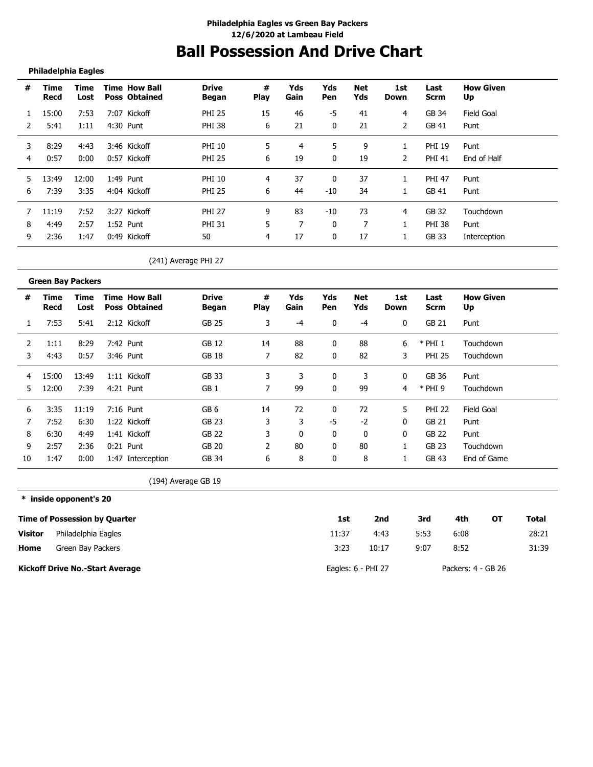# **Ball Possession And Drive Chart**

## **Philadelphia Eagles**

| #  | Time<br>Recd | Time<br>Lost | <b>Time How Ball</b><br><b>Poss Obtained</b> | <b>Drive</b><br><b>Began</b> | #<br><b>Play</b> | Yds<br>Gain | Yds<br>Pen | Net<br>Yds | 1st<br>Down | Last<br>Scrm  | <b>How Given</b><br>Up |
|----|--------------|--------------|----------------------------------------------|------------------------------|------------------|-------------|------------|------------|-------------|---------------|------------------------|
|    | 15:00        | 7:53         | 7:07 Kickoff                                 | <b>PHI 25</b>                | 15               | 46          | -5         | 41         | 4           | GB 34         | Field Goal             |
|    | 5:41         | 1:11         | 4:30 Punt                                    | <b>PHI 38</b>                | 6                | 21          |            | 21         | 2           | GB 41         | Punt                   |
| 3  | 8:29         | 4:43         | 3:46 Kickoff                                 | <b>PHI 10</b>                | 5                | 4           | 5          | 9          |             | <b>PHI 19</b> | Punt                   |
| 4  | 0:57         | 0:00         | 0:57 Kickoff                                 | <b>PHI 25</b>                | 6                | 19          | 0          | 19         | 2           | <b>PHI 41</b> | End of Half            |
| 5. | 13:49        | 12:00        | 1:49 Punt                                    | <b>PHI 10</b>                | 4                | 37          | 0          | 37         |             | <b>PHI 47</b> | Punt                   |
| 6  | 7:39         | 3:35         | 4:04 Kickoff                                 | <b>PHI 25</b>                | 6                | 44          | $-10$      | 34         |             | GB 41         | Punt                   |
|    | 11:19        | 7:52         | 3:27 Kickoff                                 | <b>PHI 27</b>                | 9                | 83          | $-10$      | 73         | 4           | GB 32         | Touchdown              |
| 8  | 4:49         | 2:57         | 1:52 Punt                                    | <b>PHI 31</b>                | 5                |             |            | ⇁          |             | PHI 38        | Punt                   |
| 9  | 2:36         | 1:47         | 0:49 Kickoff                                 | 50                           | 4                | 17          | 0          | 17         |             | GB 33         | Interception           |

(241) Average PHI 27

|    | <b>Green Bay Packers</b> |              |                                              |                       |                  |             |                   |                   |             |                     |                        |
|----|--------------------------|--------------|----------------------------------------------|-----------------------|------------------|-------------|-------------------|-------------------|-------------|---------------------|------------------------|
| #  | Time<br>Recd             | Time<br>Lost | <b>Time How Ball</b><br><b>Poss Obtained</b> | <b>Drive</b><br>Began | #<br><b>Play</b> | Yds<br>Gain | Yds<br><b>Pen</b> | <b>Net</b><br>Yds | 1st<br>Down | Last<br><b>Scrm</b> | <b>How Given</b><br>Up |
|    | 7:53                     | 5:41         | 2:12 Kickoff                                 | GB 25                 | 3                | -4          | 0                 | -4                | 0           | GB 21               | Punt                   |
| 2  | 1:11                     | 8:29         | 7:42 Punt                                    | GB 12                 | 14               | 88          | 0                 | 88                | 6           | $*$ PHI 1           | Touchdown              |
| 3  | 4:43                     | 0:57         | 3:46 Punt                                    | GB 18                 | 7                | 82          | 0                 | 82                | 3           | <b>PHI 25</b>       | Touchdown              |
| 4  | 15:00                    | 13:49        | 1:11 Kickoff                                 | <b>GB 33</b>          | 3                |             | 0                 | 3                 | 0           | GB 36               | Punt                   |
| 5  | 12:00                    | 7:39         | 4:21 Punt                                    | GB <sub>1</sub>       |                  | 99          | 0                 | 99                | 4           | $*$ PHI 9           | Touchdown              |
| 6  | 3:35                     | 11:19        | 7:16 Punt                                    | GB <sub>6</sub>       | 14               | 72          | 0                 | 72                | 5           | <b>PHI 22</b>       | Field Goal             |
|    | 7:52                     | 6:30         | 1:22 Kickoff                                 | GB 23                 | 3                | 3           | -5                | $-2$              | 0           | GB 21               | Punt                   |
| 8  | 6:30                     | 4:49         | 1:41 Kickoff                                 | <b>GB 22</b>          | 3                | 0           | 0                 | 0                 | 0           | GB 22               | Punt                   |
| 9  | 2:57                     | 2:36         | $0:21$ Punt                                  | GB 20                 | $\mathcal{P}$    | 80          | 0                 | 80                |             | GB 23               | Touchdown              |
| 10 | 1:47                     | 0:00         | 1:47 Interception                            | GB 34                 | 6                | 8           | 0                 | 8                 |             | GB 43               | End of Game            |

(194) Average GB 19

**\* inside opponent's 20**

|                | <b>Time of Possession by Quarter</b>   | 1st                  | 2nd   | 3rd  | 4th                | ОT | <b>Total</b> |
|----------------|----------------------------------------|----------------------|-------|------|--------------------|----|--------------|
| <b>Visitor</b> | Philadelphia Eagles                    | 11:37                | 4:43  | 5:53 | 6:08               |    | 28:21        |
| Home           | Green Bay Packers                      | 3:23                 | 10:17 | 9:07 | 8:52               |    | 31:39        |
|                | <b>Kickoff Drive No.-Start Average</b> | Eagles: $6$ - PHI 27 |       |      | Packers: 4 - GB 26 |    |              |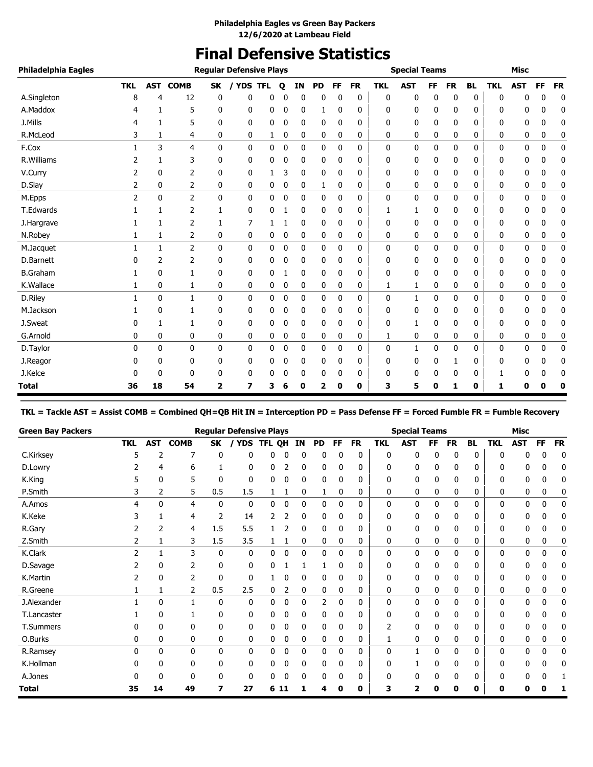# **Final Defensive Statistics**

| Philadelphia Eagles |            |              |                |              | <b>Regular Defensive Plays</b> |              |   |              |           |              |             |            | <b>Special Teams</b> |           |           |           |            | <b>Misc</b> |           |           |
|---------------------|------------|--------------|----------------|--------------|--------------------------------|--------------|---|--------------|-----------|--------------|-------------|------------|----------------------|-----------|-----------|-----------|------------|-------------|-----------|-----------|
|                     | <b>TKL</b> | <b>AST</b>   | <b>COMB</b>    | <b>SK</b>    | <b>YDS TFL</b>                 |              | Q | IN           | <b>PD</b> | FF           | <b>FR</b>   | <b>TKL</b> | <b>AST</b>           | <b>FF</b> | <b>FR</b> | <b>BL</b> | <b>TKL</b> | <b>AST</b>  | <b>FF</b> | <b>FR</b> |
| A.Singleton         | 8          | 4            | 12             | 0            | 0                              | 0            |   | $\Omega$     | 0         | O            | $\mathbf 0$ | 0          | 0                    | 0         | 0         | 0         | 0          | ŋ           | 0         | 0         |
| A.Maddox            |            | 1            | 5              | 0            | 0                              | 0            | 0 | 0            | 1         | 0            | 0           | 0          | 0                    | 0         | 0         | 0         | 0          | 0           | 0         | 0         |
| J.Mills             |            | 1            | 5              | 0            | 0                              | 0            | 0 | 0            | 0         | 0            | 0           | 0          | 0                    | 0         | 0         | 0         | 0          | 0           | 0         | 0         |
| R.McLeod            | 3          | 1            | 4              | 0            | 0                              | 1            | 0 | 0            | 0         | 0            | 0           | 0          | 0                    | 0         | 0         | 0         | 0          | 0           | 0         | 0         |
| F.Cox               | 1          | 3            | 4              | $\mathbf{0}$ | 0                              | 0            | 0 | 0            | 0         | $\mathbf 0$  | 0           | 0          | 0                    | 0         | 0         | 0         | 0          | 0           | 0         | $\pmb{0}$ |
| R. Williams         |            | 1            | 3              | 0            | 0                              | 0            | 0 | 0            | 0         | 0            | 0           | 0          | 0                    | 0         | 0         | 0         | 0          | 0           | 0         | 0         |
| V.Curry             | 2          | $\mathbf{0}$ | 2              | 0            | 0                              | 1            | 3 | 0            | 0         | 0            | 0           | 0          | 0                    | 0         | 0         | 0         | 0          | 0           | 0         | 0         |
| D.Slay              | 2          | 0            | 2              | 0            | 0                              | 0            | 0 | 0            | 1         | 0            | 0           | 0          | 0                    | 0         | 0         | 0         | 0          | 0           | 0         | 0         |
| M.Epps              | 2          | $\mathbf{0}$ | $\overline{2}$ | $\mathbf{0}$ | 0                              | $\mathbf{0}$ | 0 | $\mathbf{0}$ | 0         | $\mathbf{0}$ | 0           | 0          | 0                    | 0         | 0         | 0         | 0          | 0           | 0         | 0         |
| T.Edwards           |            | 1            | 2              | 1            | 0                              | 0            |   | 0            | 0         | 0            | 0           |            | 1                    | 0         | 0         | 0         | 0          | 0           | 0         | 0         |
| J.Hargrave          |            | $\mathbf{1}$ | 2              | 1            | 7                              |              |   | 0            | 0         | 0            | 0           | 0          | 0                    | 0         | 0         | 0         | 0          | 0           | 0         | 0         |
| N.Robey             |            | 1            | 2              | 0            | 0                              | 0            | 0 | 0            | 0         | 0            | 0           | 0          | 0                    | 0         | 0         | 0         | 0          | 0           | 0         | 0         |
| M.Jacquet           | 1          | $\mathbf{1}$ | $\overline{2}$ | 0            | 0                              | 0            | 0 | 0            | 0         | 0            | 0           | 0          | 0                    | 0         | 0         | 0         | 0          | 0           | 0         | 0         |
| D.Barnett           | 0          | 2            | $\overline{2}$ | 0            | 0                              | 0            | 0 | 0            | 0         | 0            | 0           | 0          | 0                    | 0         | 0         | 0         | 0          | 0           | 0         | 0         |
| <b>B.Graham</b>     |            | $\mathbf{0}$ | 1              | 0            | 0                              | 0            |   | 0            | 0         | 0            | 0           | 0          | 0                    | 0         | 0         | 0         | 0          | 0           | 0         | 0         |
| K.Wallace           | 1          | 0            | 1              | 0            | 0                              | 0            | 0 | 0            | 0         | 0            | 0           | 1          | 1                    | 0         | 0         | 0         | 0          | 0           | 0         | 0         |
| D.Riley             |            | $\mathbf{0}$ | $\mathbf{1}$   | $\mathbf{0}$ | 0                              | 0            | 0 | 0            | 0         | $\mathbf{0}$ | 0           | 0          | $\mathbf{1}$         | 0         | 0         | 0         | 0          | 0           | 0         | 0         |
| M.Jackson           |            | 0            | 1              | 0            | 0                              | 0            | 0 | 0            | 0         | 0            | 0           | 0          | 0                    | 0         | 0         | 0         | 0          | 0           | 0         | 0         |
| J.Sweat             | 0          | 1            | 1              | 0            | 0                              | 0            | 0 | 0            | 0         | $\mathbf 0$  | 0           | 0          | 1                    | 0         | 0         | 0         | 0          | 0           | 0         | 0         |
| G.Arnold            | 0          | 0            | 0              | 0            | 0                              | 0            | 0 | 0            | 0         | 0            | 0           | 1          | 0                    | 0         | 0         | 0         | 0          | 0           | 0         | 0         |
| D.Taylor            | 0          | $\mathbf{0}$ | 0              | $\mathbf{0}$ | 0                              | 0            | 0 | 0            | 0         | $\mathbf 0$  | 0           | 0          | $\mathbf{1}$         | 0         | 0         | 0         | 0          | 0           | 0         | 0         |
| J.Reagor            | 0          | 0            | 0              | 0            | 0                              | 0            | 0 | 0            | 0         | 0            | 0           | 0          | 0                    | 0         |           | 0         | 0          | 0           | 0         | 0         |
| J.Kelce             |            | 0            | 0              | 0            | 0                              | 0            | 0 | 0            | 0         | 0            | 0           | 0          | 0                    | 0         | 0         | 0         |            | 0           | 0         | 0         |
| <b>Total</b>        | 36         | 18           | 54             | 2            | 7                              | 3            | 6 | 0            | 2         | 0            | 0           | 3          | 5                    | 0         | 1         | 0         | 1          | 0           | 0         | 0         |

**TKL = Tackle AST = Assist COMB = Combined QH=QB Hit IN = Interception PD = Pass Defense FF = Forced Fumble FR = Fumble Recovery**

| <b>Green Bay Packers</b> |               |     |             |              | <b>Regular Defensive Plays</b> |        |             |    |           |           |           |            | <b>Special Teams</b> |           |           |              |              | <b>Misc</b> |             |           |
|--------------------------|---------------|-----|-------------|--------------|--------------------------------|--------|-------------|----|-----------|-----------|-----------|------------|----------------------|-----------|-----------|--------------|--------------|-------------|-------------|-----------|
|                          | <b>TKL</b>    | AST | <b>COMB</b> | SK           | <b>YDS</b>                     | TFL QH |             | IN | <b>PD</b> | <b>FF</b> | <b>FR</b> | <b>TKL</b> | <b>AST</b>           | <b>FF</b> | <b>FR</b> | <b>BL</b>    | <b>TKL</b>   | <b>AST</b>  | FF          | <b>FR</b> |
| C.Kirksey                | 5             |     | 7           | 0            | 0                              | 0      |             | 0  | 0         |           | 0         | 0          | 0                    | 0         | 0         | $\mathbf{0}$ | $\Omega$     | 0           | 0           | 0         |
| D.Lowry                  |               | 4   | 6           |              | 0                              | 0      |             | 0  | 0         |           | 0         | 0          | 0                    |           | 0         | 0            | 0            | 0           | 0           | 0         |
| K.King                   |               | 0   | 5           | 0            | 0                              | 0      | ۵           | 0  | 0         | ŋ         | 0         | 0          | 0                    | 0         | 0         | 0            | 0            | 0           | 0           | 0         |
| P.Smith                  | 3             | 2   | 5           | 0.5          | 1.5                            | 1      | L,          | 0  | 1         | 0         | 0         | 0          | 0                    | 0         | 0         | 0            | 0            | 0           | 0           | 0         |
| A.Amos                   | 4             | 0   | 4           | $\mathbf{0}$ | 0                              | 0      | $\mathbf 0$ | 0  | 0         | 0         | 0         | 0          | 0                    | 0         | 0         | $\mathbf{0}$ | 0            | 0           | 0           | 0         |
| K.Keke                   |               |     | 4           | 2            | 14                             |        |             | 0  | 0         |           | 0         | ŋ          | 0                    |           | 0         | 0            | 0            | 0           |             | 0         |
| R.Gary                   |               | 2   | 4           | 1.5          | 5.5                            |        |             | 0  | 0         | 0         | 0         | 0          | 0                    | 0         | 0         | 0            | 0            | 0           | 0           | 0         |
| Z.Smith                  |               |     | 3           | 1.5          | 3.5                            | 1      |             | 0  | 0         | 0         | 0         | 0          | 0                    | 0         | 0         | 0            | 0            | 0           | 0           | 0         |
| K.Clark                  | $\mathcal{P}$ |     | 3           | $\mathbf{0}$ | 0                              | 0      | ۵           | 0  | 0         | 0         | 0         | 0          | 0                    | 0         | 0         | $\Omega$     | $\mathbf{0}$ | 0           | 0           | 0         |
| D.Savage                 |               | 0   | 2           | $\mathbf{0}$ | 0                              | 0      |             |    |           | C         | 0         | 0          | 0                    | 0         | 0         | $\Omega$     | 0            | 0           | 0           | 0         |
| K.Martin                 |               | 0   | 2           | 0            | 0                              |        | ۵           | 0  | 0         | 0         | 0         | 0          | 0                    | 0         | 0         | 0            | 0            | 0           | 0           | 0         |
| R.Greene                 |               |     | 2           | 0.5          | 2.5                            | 0      | 2           | 0  | 0         | 0         | 0         | 0          | 0                    | 0         | 0         | 0            | 0            | 0           | 0           | C         |
| J.Alexander              |               | 0   |             | $\mathbf{0}$ | 0                              | 0      | 0           | 0  | 2         | 0         | 0         | 0          | 0                    | 0         | 0         | 0            | 0            | 0           | 0           | 0         |
| T.Lancaster              |               | 0   |             | 0            | 0                              | 0      | 0           | 0  | 0         | 0         | 0         | ŋ          | 0                    |           | 0         | $\Omega$     | 0            | 0           | 0           | 0         |
| T.Summers                |               | 0   | 0           | 0            | 0                              | 0      | ۵           | 0  | 0         |           | 0         | 2          | 0                    |           | 0         | 0            | 0            | 0           | 0           | C         |
| O.Burks                  | 0             | 0   | 0           | 0            | 0                              | 0      | 0           | 0  | 0         | 0         | 0         |            | 0                    | 0         | 0         | 0            | 0            | 0           | 0           | 0         |
| R.Ramsey                 | 0             | 0   | 0           | $\mathbf{0}$ | 0                              | 0      | 0           | 0  | 0         | 0         | 0         | 0          | 1                    | 0         | 0         | $\mathbf{0}$ | 0            | 0           | $\mathbf 0$ | 0         |
| K.Hollman                |               | 0   | 0           | 0            | 0                              | 0      | 0           | 0  | 0         | 0         | 0         | 0          |                      |           | 0         | 0            | 0            | 0           | 0           | 0         |
| A.Jones                  |               |     | $\Omega$    | 0            | 0                              | 0      |             |    | 0         |           | 0         | U          | 0                    |           | 0         | 0            | 0            | 0           |             |           |
| <b>Total</b>             | 35            | 14  | 49          | 7            | 27                             | 6      | -11         |    | 4         | 0         | 0         | 3          |                      | 0         | 0         | 0            | 0            | ŋ           |             |           |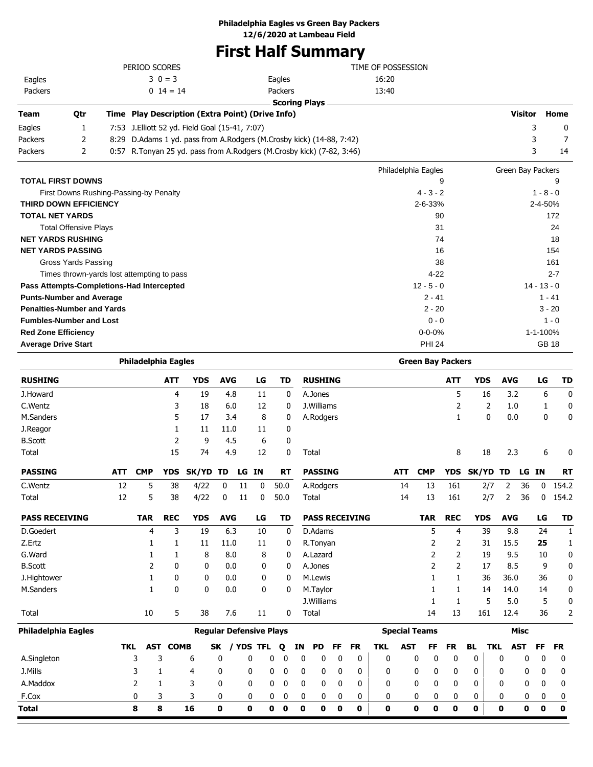# **First Half Summary**

|                            |                                   |      | PERIOD SCORES                                    |            |            |    |         |                                                                       | TIME OF POSSESSION  |                          |            |                   |               |
|----------------------------|-----------------------------------|------|--------------------------------------------------|------------|------------|----|---------|-----------------------------------------------------------------------|---------------------|--------------------------|------------|-------------------|---------------|
| Eagles                     |                                   |      | $30 = 3$                                         |            |            |    | Eagles  |                                                                       | 16:20               |                          |            |                   |               |
| Packers                    |                                   |      | $0\;14=14$                                       |            |            |    | Packers |                                                                       | 13:40               |                          |            |                   |               |
|                            |                                   |      |                                                  |            |            |    |         | <b>Scoring Plays</b>                                                  |                     |                          |            |                   |               |
| <b>Team</b>                | Qtr                               |      | Time Play Description (Extra Point) (Drive Info) |            |            |    |         |                                                                       |                     |                          |            | <b>Visitor</b>    | Home          |
| Eagles                     | 1                                 |      | 7:53 J. Elliott 52 yd. Field Goal (15-41, 7:07)  |            |            |    |         |                                                                       |                     |                          |            | 3                 | 0             |
| Packers                    | 2                                 | 8:29 |                                                  |            |            |    |         | D.Adams 1 yd. pass from A.Rodgers (M.Crosby kick) (14-88, 7:42)       |                     |                          |            | 3                 | 7             |
| Packers                    | $\overline{2}$                    |      |                                                  |            |            |    |         | 0:57 R.Tonyan 25 yd. pass from A.Rodgers (M.Crosby kick) (7-82, 3:46) |                     |                          |            | 3                 | 14            |
|                            |                                   |      |                                                  |            |            |    |         |                                                                       | Philadelphia Eagles |                          |            | Green Bay Packers |               |
|                            | <b>TOTAL FIRST DOWNS</b>          |      |                                                  |            |            |    |         |                                                                       |                     | 9                        |            |                   | 9             |
|                            |                                   |      | First Downs Rushing-Passing-by Penalty           |            |            |    |         |                                                                       |                     | $4 - 3 - 2$              |            |                   | $1 - 8 - 0$   |
|                            | <b>THIRD DOWN EFFICIENCY</b>      |      |                                                  |            |            |    |         |                                                                       |                     | $2 - 6 - 33%$            |            |                   | 2-4-50%       |
|                            | <b>TOTAL NET YARDS</b>            |      |                                                  |            |            |    |         |                                                                       |                     | 90                       |            |                   | 172           |
|                            | <b>Total Offensive Plays</b>      |      |                                                  |            |            |    |         |                                                                       |                     | 31                       |            |                   | 24            |
|                            | <b>NET YARDS RUSHING</b>          |      |                                                  |            |            |    |         |                                                                       |                     | 74                       |            |                   | 18            |
|                            | <b>NET YARDS PASSING</b>          |      |                                                  |            |            |    |         |                                                                       |                     | 16                       |            |                   | 154           |
|                            | Gross Yards Passing               |      |                                                  |            |            |    |         |                                                                       |                     | 38                       |            |                   | 161           |
|                            |                                   |      | Times thrown-yards lost attempting to pass       |            |            |    |         |                                                                       |                     | $4 - 22$                 |            |                   | $2 - 7$       |
|                            |                                   |      | Pass Attempts-Completions-Had Intercepted        |            |            |    |         |                                                                       |                     | $12 - 5 - 0$             |            |                   | $14 - 13 - 0$ |
|                            | <b>Punts-Number and Average</b>   |      |                                                  |            |            |    |         |                                                                       |                     | $2 - 41$                 |            |                   | $1 - 41$      |
|                            | <b>Penalties-Number and Yards</b> |      |                                                  |            |            |    |         |                                                                       |                     | $2 - 20$                 |            |                   | $3 - 20$      |
|                            | <b>Fumbles-Number and Lost</b>    |      |                                                  |            |            |    |         |                                                                       |                     | $0 - 0$                  |            |                   | $1 - 0$       |
|                            | <b>Red Zone Efficiency</b>        |      |                                                  |            |            |    |         |                                                                       |                     | $0 - 0 - 0%$             |            |                   | 1-1-100%      |
| <b>Average Drive Start</b> |                                   |      |                                                  |            |            |    |         |                                                                       |                     | <b>PHI 24</b>            |            |                   | <b>GB 18</b>  |
|                            |                                   |      | <b>Philadelphia Eagles</b>                       |            |            |    |         |                                                                       |                     | <b>Green Bay Packers</b> |            |                   |               |
| <b>RUSHING</b>             |                                   |      | <b>ATT</b>                                       | <b>YDS</b> | <b>AVG</b> | LG | TD      | <b>RUSHING</b>                                                        |                     | <b>ATT</b>               | <b>YDS</b> | <b>AVG</b>        | LG<br>TD      |

| <b>RUSHING</b>        |            |            | <b>ATT</b>   | <b>YDS</b>                     | <b>AVG</b>   |    | LG           | TD                |    |             | <b>RUSHING</b> |    |                       |              |            |                      | <b>ATT</b>     |            | <b>YDS</b> | <b>AVG</b> |             | LG           | <b>TD</b>    |
|-----------------------|------------|------------|--------------|--------------------------------|--------------|----|--------------|-------------------|----|-------------|----------------|----|-----------------------|--------------|------------|----------------------|----------------|------------|------------|------------|-------------|--------------|--------------|
| J.Howard              |            |            | 4            | 19                             | 4.8          |    | 11           |                   | 0  |             | A.Jones        |    |                       |              |            |                      | 5              |            | 16         | 3.2        |             | 6            | 0            |
| C.Wentz               |            |            | 3            | 18                             | 6.0          |    | 12           |                   | 0  |             | J. Williams    |    |                       |              |            |                      | 2              |            | 2          | 1.0        |             | 1            | 0            |
| M.Sanders             |            |            | 5            | 17                             | 3.4          |    | 8            |                   | 0  |             | A.Rodgers      |    |                       |              |            |                      | $\mathbf{1}$   |            | 0          | 0.0        |             | 0            | 0            |
| J.Reagor              |            |            | 1            | 11                             | 11.0         |    | 11           |                   | 0  |             |                |    |                       |              |            |                      |                |            |            |            |             |              |              |
| <b>B.Scott</b>        |            |            | 2            | 9                              | 4.5          |    | 6            |                   | 0  |             |                |    |                       |              |            |                      |                |            |            |            |             |              |              |
| Total                 |            |            | 15           | 74                             | 4.9          |    | 12           |                   | 0  | Total       |                |    |                       |              |            |                      | 8              |            | 18         | 2.3        |             | 6            | 0            |
| <b>PASSING</b>        | <b>ATT</b> | <b>CMP</b> | <b>YDS</b>   | SK/YD                          | TD.          | LG | <b>IN</b>    | <b>RT</b>         |    |             | <b>PASSING</b> |    |                       |              | <b>ATT</b> | <b>CMP</b>           | <b>YDS</b>     | SK/YD TD   |            |            | LG IN       |              | <b>RT</b>    |
| C.Wentz               | 12         | 5          | 38           | 4/22                           | 0            | 11 | 0            | 50.0              |    |             | A.Rodgers      |    |                       |              | 14         | 13                   | 161            |            | 2/7        | 2          | 36          | 0            | 154.2        |
| Total                 | 12         | 5          | 38           | 4/22                           | 0            | 11 | 0            | 50.0              |    |             | Total          |    |                       |              | 14         | 13                   | 161            |            | 2/7        | 2          | 36          | 0            | 154.2        |
| <b>PASS RECEIVING</b> |            | <b>TAR</b> | <b>REC</b>   | <b>YDS</b>                     | <b>AVG</b>   |    | LG           | TD                |    |             |                |    | <b>PASS RECEIVING</b> |              |            | <b>TAR</b>           | <b>REC</b>     | <b>YDS</b> |            | <b>AVG</b> |             | LG           | <b>TD</b>    |
| D.Goedert             |            | 4          | 3            | 19                             | 6.3          |    | 10           |                   | 0  |             | D.Adams        |    |                       |              |            | 5                    | 4              |            | 39         | 9.8        |             | 24           | $\mathbf{1}$ |
| Z.Ertz                |            |            | 1            | 11                             | 11.0         |    | 11           |                   | 0  |             | R.Tonyan       |    |                       |              |            | 2                    | 2              |            | 31         | 15.5       |             | 25           | $\mathbf{1}$ |
| G.Ward                |            | 1          | 1            | 8                              | 8.0          |    | 8            |                   | 0  |             | A.Lazard       |    |                       |              |            | 2                    | 2              |            | 19         | 9.5        |             | 10           | 0            |
| <b>B.Scott</b>        |            | 2          | $\mathbf{0}$ | 0                              | 0.0          |    | 0            |                   | 0  |             | A.Jones        |    |                       |              |            | 2                    | $\overline{2}$ |            | 17         | 8.5        |             | 9            | 0            |
| J.Hightower           |            | 1          | 0            | 0                              | 0.0          |    | 0            |                   | 0  |             | M.Lewis        |    |                       |              |            | 1                    | 1              |            | 36         | 36.0       |             | 36           | 0            |
| M.Sanders             |            | 1          | $\mathbf{0}$ | $\mathbf{0}$                   | 0.0          |    | $\mathbf{0}$ |                   | 0  |             | M.Taylor       |    |                       |              |            |                      | 1              |            | 14         | 14.0       |             | 14           | 0            |
|                       |            |            |              |                                |              |    |              |                   |    |             | J.Williams     |    |                       |              |            | 1                    | 1              |            | 5          | 5.0        |             | 5            | 0            |
| Total                 |            | 10         | 5            | 38                             | 7.6          |    | 11           |                   | 0  | Total       |                |    |                       |              |            | 14                   | 13             |            | 161        | 12.4       |             | 36           | 2            |
| Philadelphia Eagles   |            |            |              | <b>Regular Defensive Plays</b> |              |    |              |                   |    |             |                |    |                       |              |            | <b>Special Teams</b> |                |            |            |            | <b>Misc</b> |              |              |
|                       | <b>TKL</b> | <b>AST</b> | <b>COMB</b>  |                                | SK           |    | / YDS TFL    | Q                 | ΙN |             | <b>PD</b>      | FF | <b>FR</b>             | <b>TKL</b>   | <b>AST</b> | FF                   | <b>FR</b>      | <b>BL</b>  | <b>TKL</b> |            | <b>AST</b>  | <b>FF</b>    | <b>FR</b>    |
| A.Singleton           |            | 3          | 3            | 6                              | 0            | 0  |              | 0<br>0            |    | 0           | 0              | 0  | 0                     | $\mathbf 0$  |            | $\mathbf{0}$<br>0    | $\mathbf 0$    | 0          |            | 0          | 0           | $\mathbf{0}$ | 0            |
| J.Mills               |            | 3          | 1            | 4                              | 0            | 0  |              | 0<br>$\mathbf{0}$ |    | $\mathbf 0$ | 0              | 0  | $\mathbf{0}$          | $\mathbf{0}$ |            | $\mathbf{0}$<br>0    | 0              | 0          |            | 0          | 0           | 0            | 0            |
| A.Maddox              |            | 2          | 1            | 3                              | $\mathbf{0}$ | 0  |              | 0<br>0            |    | 0           | 0              | 0  | 0                     | $\mathbf{0}$ |            | $\mathbf{0}$<br>0    | 0              | 0          |            | 0          | 0           | 0            | 0            |
| F.Cox                 |            | 0          | 3            | 3                              | 0            | 0  |              | 0<br>0            |    | 0           | 0              | 0  | 0                     | 0            |            | 0<br>0               | 0              | 0          |            | 0          | 0           | 0            | 0            |
| Total                 |            | 8          | 8            | 16                             | 0            | 0  |              | 0<br>0            |    | 0           | 0              | 0  | 0                     | 0            |            | 0<br>0               | 0              | 0          |            | 0          | 0           | 0            | $\mathbf 0$  |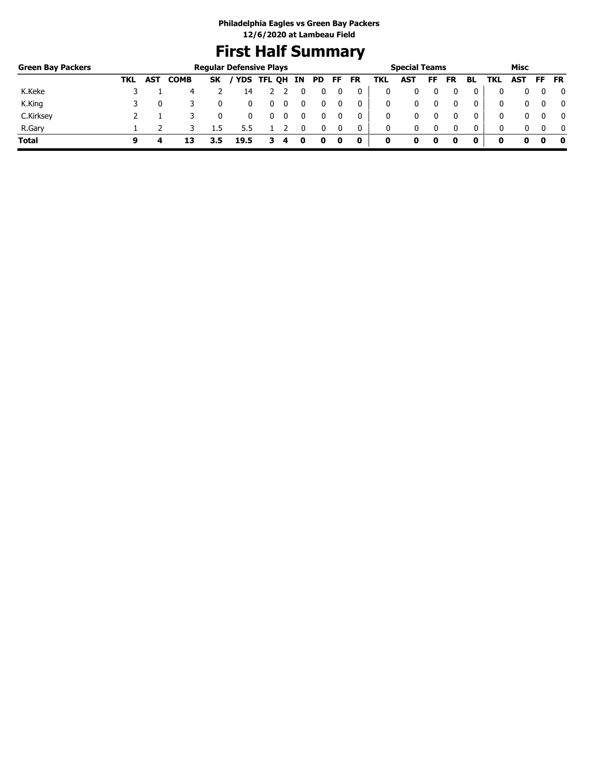# **First Half Summary**

| <b>Green Bay Packers</b> |     |            |             |           | <b>Regular Defensive Plays</b> |   |   |    |     |     |           |     | <b>Special Teams</b> |    |           |              |     | Misc |     |              |
|--------------------------|-----|------------|-------------|-----------|--------------------------------|---|---|----|-----|-----|-----------|-----|----------------------|----|-----------|--------------|-----|------|-----|--------------|
|                          | TKL | <b>AST</b> | <b>COMB</b> | <b>SK</b> | / YDS TFL QH                   |   |   | IN | PD. | FF. | <b>FR</b> | TKL | AST                  | FF | <b>FR</b> | BL           | TKL | AST  | FF. | <b>FR</b>    |
| K.Keke                   |     |            | 4           |           | 14                             |   |   |    |     |     | 0         |     | 0                    |    |           |              |     |      |     | 0            |
| K.King                   |     |            |             |           |                                | υ | 0 |    |     |     | 0         |     | 0                    |    |           | 0            |     |      |     | $\mathbf{0}$ |
| C.Kirksey                |     |            |             |           |                                |   |   |    |     |     | 0         |     | 0                    |    |           | 0            | 0   |      |     | $\mathbf{0}$ |
| R.Gary                   |     |            |             | 1.5       |                                |   |   |    |     |     | 0         | 0   | 0                    |    | 0         | $\mathbf{0}$ | 0   |      |     | $\mathbf{0}$ |
| <b>Total</b>             | q   | 4          | 13          |           | 19.5                           |   |   | O  | 0   | 0   | 0         | 0   |                      | 0  |           | 0            | o   | o    |     | 0            |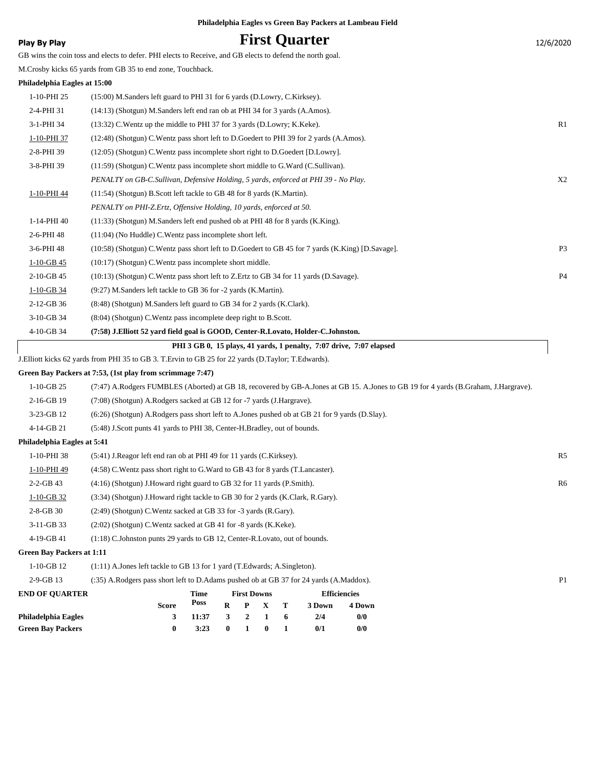## **Play By Play Play Play Play By Play First Quarter** 12/6/2020

GB wins the coin toss and elects to defer. PHI elects to Receive, and GB elects to defend the north goal.

M.Crosby kicks 65 yards from GB 35 to end zone, Touchback.

## **Philadelphia Eagles at 15:00**

|              | PHI 3 GB 0, 15 plays, 41 yards, 1 penalty, 7:07 drive, 7:07 elapsed                                  |                |
|--------------|------------------------------------------------------------------------------------------------------|----------------|
| 4-10-GB 34   | (7:58) J.Elliott 52 yard field goal is GOOD, Center-R.Lovato, Holder-C.Johnston.                     |                |
| 3-10-GB 34   | (8:04) (Shotgun) C. Wentz pass incomplete deep right to B. Scott.                                    |                |
| $2-12-GB$ 36 | (8:48) (Shotgun) M.Sanders left guard to GB 34 for 2 yards (K.Clark).                                |                |
| $1-10-GB$ 34 | (9:27) M.Sanders left tackle to GB 36 for -2 yards (K.Martin).                                       |                |
| $2-10-GB$ 45 | (10:13) (Shotgun) C. Wentz pass short left to Z. Ertz to GB 34 for 11 yards (D. Savage).             | P <sub>4</sub> |
| $1-10-GB$ 45 | $(10:17)$ (Shotgun) C. Wentz pass incomplete short middle.                                           |                |
| 3-6-PHI 48   | (10:58) (Shotgun) C. Wentz pass short left to D. Goedert to GB 45 for 7 yards (K. King) [D. Savage]. | P <sub>3</sub> |
| 2-6-PHI 48   | $(11:04)$ (No Huddle) C. Wentz pass incomplete short left.                                           |                |
| 1-14-PHI 40  | $(11:33)$ (Shotgun) M.Sanders left end pushed ob at PHI 48 for 8 yards (K.King).                     |                |
|              | PENALTY on PHI-Z.Ertz, Offensive Holding, 10 yards, enforced at 50.                                  |                |
| 1-10-PHI 44  | (11:54) (Shotgun) B.Scott left tackle to GB 48 for 8 yards (K.Martin).                               |                |
|              | PENALTY on GB-C.Sullivan, Defensive Holding, 5 yards, enforced at PHI 39 - No Play.                  | X <sub>2</sub> |
| 3-8-PHI 39   | $(11:59)$ (Shotgun) C. Wentz pass incomplete short middle to G. Ward (C. Sullivan).                  |                |
| 2-8-PHI 39   | $(12:05)$ (Shotgun) C. Wentz pass incomplete short right to D. Goedert [D. Lowry].                   |                |
| 1-10-PHI 37  | (12:48) (Shotgun) C. Wentz pass short left to D. Goedert to PHI 39 for 2 yards (A. Amos).            |                |
| 3-1-PHI 34   | (13:32) C. Wentz up the middle to PHI 37 for 3 yards (D. Lowry; K. Keke).                            | R <sub>1</sub> |
| 2-4-PHI 31   | (14:13) (Shotgun) M.Sanders left end ran ob at PHI 34 for 3 yards (A.Amos).                          |                |
| 1-10-PHI 25  | (15:00) M.Sanders left guard to PHI 31 for 6 yards (D.Lowry, C.Kirksey).                             |                |
|              |                                                                                                      |                |

J.Elliott kicks 62 yards from PHI 35 to GB 3. T.Ervin to GB 25 for 22 yards (D.Taylor; T.Edwards).

## **Green Bay Packers at 7:53, (1st play from scrimmage 7:47)**

| 1-10-GB 25 |  | (7:47) A.Rodgers FUMBLES (Aborted) at GB 18, recovered by GB-A.Jones at GB 15. A.Jones to GB 19 for 4 yards (B.Graham, J.Hargrave). |  |
|------------|--|-------------------------------------------------------------------------------------------------------------------------------------|--|
|            |  |                                                                                                                                     |  |

- 2-16-GB 19 (7:08) (Shotgun) A.Rodgers sacked at GB 12 for -7 yards (J.Hargrave).
- 3-23-GB 12 (6:26) (Shotgun) A.Rodgers pass short left to A.Jones pushed ob at GB 21 for 9 yards (D.Slay).
- 4-14-GB 21 (5:48) J.Scott punts 41 yards to PHI 38, Center-H.Bradley, out of bounds.

## **Philadelphia Eagles at 5:41**

| 1-10-PHI 38     | (5:41) J. Reagor left end ran ob at PHI 49 for 11 yards (C. Kirksey).            | R <sub>5</sub> |
|-----------------|----------------------------------------------------------------------------------|----------------|
| 1-10-PHI 49     | (4:58) C. Wentz pass short right to G. Ward to GB 43 for 8 yards (T. Lancaster). |                |
| $2 - 2 - GB$ 43 | $(4:16)$ (Shotgun) J. Howard right guard to GB 32 for 11 yards (P. Smith).       | R <sub>6</sub> |
| $1-10-GB$ 32    | (3:34) (Shotgun) J.Howard right tackle to GB 30 for 2 yards (K.Clark, R.Gary).   |                |
| $2 - 8 - GB$ 30 | (2:49) (Shotgun) C. Wentz sacked at GB 33 for -3 yards (R. Gary).                |                |
| $3-11-GB$ 33    | (2:02) (Shotgun) C. Wentz sacked at GB 41 for -8 yards (K. Keke).                |                |
| 4-19-GB 41      | (1:18) C.Johnston punts 29 yards to GB 12, Center-R.Lovato, out of bounds.       |                |

### **Green Bay Packers at 1:11**

| 1-10-GB 12 | $(1:11)$ A. Jones left tackle to GB 13 for 1 yard (T. Edwards; A. Singleton). |
|------------|-------------------------------------------------------------------------------|
|            |                                                                               |

| $2 - 9 - GB$ 13 |  | (:35) A.Rodgers pass short left to D.Adams pushed ob at GB 37 for 24 yards (A.Maddox). |  |
|-----------------|--|----------------------------------------------------------------------------------------|--|
|-----------------|--|----------------------------------------------------------------------------------------|--|

| <b>END OF OUARTER</b>    |              | Time            |              |                  | <b>First Downs</b> |     | <b>Efficiencies</b> |        |  |
|--------------------------|--------------|-----------------|--------------|------------------|--------------------|-----|---------------------|--------|--|
|                          | <b>Score</b> | Poss            | R.           |                  | P X T              |     | 3 Down              | 4 Down |  |
| Philadelphia Eagles      |              | $3 \quad 11:37$ |              |                  | 3 2 1              | - 6 | 2/4                 | 0/0    |  |
| <b>Green Bay Packers</b> |              | 3:23            | $\mathbf{0}$ | $\blacksquare$ 1 | $\mathbf{0}$       |     | 0/1                 | 0/0    |  |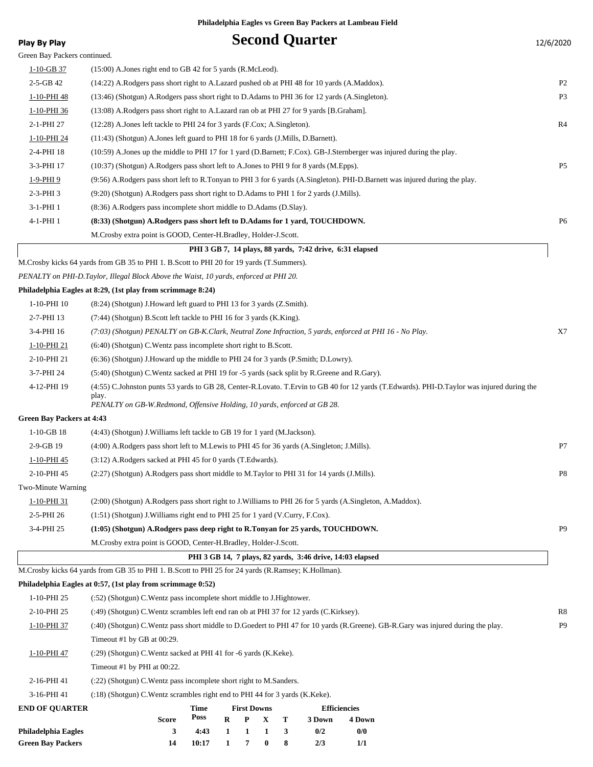| <b>Play By Play</b>              | <b>Second Quarter</b>                                                                                                                      | 12/6/2020      |
|----------------------------------|--------------------------------------------------------------------------------------------------------------------------------------------|----------------|
| Green Bay Packers continued.     |                                                                                                                                            |                |
| $1-10-GB$ 37                     | $(15:00)$ A. Jones right end to GB 42 for 5 yards (R. McLeod).                                                                             |                |
| $2-5-GB$ 42                      | (14:22) A.Rodgers pass short right to A.Lazard pushed ob at PHI 48 for 10 yards (A.Maddox).                                                | P <sub>2</sub> |
| 1-10-PHI 48                      | (13:46) (Shotgun) A.Rodgers pass short right to D.Adams to PHI 36 for 12 yards (A.Singleton).                                              | P <sub>3</sub> |
| 1-10-PHI 36                      | (13:08) A.Rodgers pass short right to A.Lazard ran ob at PHI 27 for 9 yards [B.Graham].                                                    |                |
| 2-1-PHI 27                       | (12:28) A.Jones left tackle to PHI 24 for 3 yards (F.Cox; A.Singleton).                                                                    | R4             |
| 1-10-PHI 24                      | $(11:43)$ (Shotgun) A. Jones left guard to PHI 18 for 6 yards (J. Mills, D. Barnett).                                                      |                |
| 2-4-PHI 18                       | (10:59) A.Jones up the middle to PHI 17 for 1 yard (D.Barnett; F.Cox). GB-J.Sternberger was injured during the play.                       |                |
| 3-3-PHI 17                       | (10:37) (Shotgun) A.Rodgers pass short left to A.Jones to PHI 9 for 8 yards (M.Epps).                                                      | P <sub>5</sub> |
| 1-9-PHI 9                        | (9:56) A.Rodgers pass short left to R.Tonyan to PHI 3 for 6 yards (A.Singleton). PHI-D.Barnett was injured during the play.                |                |
| $2-3-PHI$ 3                      | (9:20) (Shotgun) A.Rodgers pass short right to D.Adams to PHI 1 for 2 yards (J.Mills).                                                     |                |
| 3-1-PHI 1                        | (8:36) A.Rodgers pass incomplete short middle to D.Adams (D.Slay).                                                                         |                |
| 4-1-PHI 1                        | (8:33) (Shotgun) A.Rodgers pass short left to D.Adams for 1 yard, TOUCHDOWN.                                                               | P <sub>6</sub> |
|                                  | M. Crosby extra point is GOOD, Center-H. Bradley, Holder-J. Scott.                                                                         |                |
|                                  | PHI 3 GB 7, 14 plays, 88 yards, 7:42 drive, 6:31 elapsed                                                                                   |                |
|                                  | M.Crosby kicks 64 yards from GB 35 to PHI 1. B.Scott to PHI 20 for 19 yards (T.Summers).                                                   |                |
|                                  | PENALTY on PHI-D.Taylor, Illegal Block Above the Waist, 10 yards, enforced at PHI 20.                                                      |                |
|                                  | Philadelphia Eagles at 8:29, (1st play from scrimmage 8:24)                                                                                |                |
| 1-10-PHI 10                      | (8:24) (Shotgun) J. Howard left guard to PHI 13 for 3 yards (Z. Smith).                                                                    |                |
| 2-7-PHI 13                       | (7:44) (Shotgun) B.Scott left tackle to PHI 16 for 3 yards (K.King).                                                                       |                |
| 3-4-PHI 16                       | (7:03) (Shotgun) PENALTY on GB-K.Clark, Neutral Zone Infraction, 5 yards, enforced at PHI 16 - No Play.                                    | X7             |
| 1-10-PHI 21                      | (6:40) (Shotgun) C. Wentz pass incomplete short right to B. Scott.                                                                         |                |
| 2-10-PHI 21                      | (6.36) (Shotgun) J. Howard up the middle to PHI 24 for 3 yards (P. Smith; D. Lowry).                                                       |                |
| 3-7-PHI 24                       | (5:40) (Shotgun) C.Wentz sacked at PHI 19 for -5 yards (sack split by R.Greene and R.Gary).                                                |                |
| 4-12-PHI 19                      | (4:55) C.Johnston punts 53 yards to GB 28, Center-R.Lovato. T.Ervin to GB 40 for 12 yards (T.Edwards). PHI-D.Taylor was injured during the |                |
|                                  | play.<br>PENALTY on GB-W.Redmond, Offensive Holding, 10 yards, enforced at GB 28.                                                          |                |
| <b>Green Bay Packers at 4:43</b> |                                                                                                                                            |                |
| $1-10-GB$ 18                     | (4:43) (Shotgun) J. Williams left tackle to GB 19 for 1 yard (M. Jackson).                                                                 |                |
| 2-9-GB 19                        | (4:00) A.Rodgers pass short left to M.Lewis to PHI 45 for 36 yards (A.Singleton; J.Mills).                                                 | P7             |
| 1-10-PHI 45                      | (3:12) A.Rodgers sacked at PHI 45 for 0 yards (T.Edwards).                                                                                 |                |
| 2-10-PHI 45                      | (2:27) (Shotgun) A.Rodgers pass short middle to M.Taylor to PHI 31 for 14 yards (J.Mills).                                                 | P <sub>8</sub> |
| Two-Minute Warning               |                                                                                                                                            |                |
| 1-10-PHI 31                      | (2:00) (Shotgun) A.Rodgers pass short right to J.Williams to PHI 26 for 5 yards (A.Singleton, A.Maddox).                                   |                |
| 2-5-PHI 26                       | (1:51) (Shotgun) J. Williams right end to PHI 25 for 1 yard (V. Curry, F. Cox).                                                            |                |
| 3-4-PHI 25                       | (1:05) (Shotgun) A.Rodgers pass deep right to R.Tonyan for 25 yards, TOUCHDOWN.                                                            | P <sub>9</sub> |
|                                  | M.Crosby extra point is GOOD, Center-H.Bradley, Holder-J.Scott.                                                                            |                |
|                                  | PHI 3 GB 14, 7 plays, 82 yards, 3:46 drive, 14:03 elapsed                                                                                  |                |
|                                  | M.Crosby kicks 64 yards from GB 35 to PHI 1. B.Scott to PHI 25 for 24 yards (R.Ramsey; K.Hollman).                                         |                |
|                                  | Philadelphia Eagles at 0:57, (1st play from scrimmage 0:52)                                                                                |                |
| 1-10-PHI 25                      | (:52) (Shotgun) C. Wentz pass incomplete short middle to J. Hightower.                                                                     |                |
| 2-10-PHI 25                      | (:49) (Shotgun) C. Wentz scrambles left end ran ob at PHI 37 for 12 yards (C. Kirksey).                                                    | R8             |
| 1-10-PHI 37                      | (:40) (Shotgun) C.Wentz pass short middle to D.Goedert to PHI 47 for 10 yards (R.Greene). GB-R.Gary was injured during the play.           | P <sub>9</sub> |
|                                  | Timeout #1 by GB at 00:29.                                                                                                                 |                |
| 1-10-PHI 47                      | (:29) (Shotgun) C. Wentz sacked at PHI 41 for -6 yards (K. Keke).                                                                          |                |
|                                  | Timeout #1 by PHI at 00:22.                                                                                                                |                |
| 2-16-PHI 41                      | (:22) (Shotgun) C. Wentz pass incomplete short right to M. Sanders.                                                                        |                |
| 3-16-PHI 41                      | (:18) (Shotgun) C. Wentz scrambles right end to PHI 44 for 3 yards (K. Keke).                                                              |                |
| <b>END OF QUARTER</b>            | <b>Time</b><br><b>First Downs</b><br><b>Efficiencies</b>                                                                                   |                |

|              |       |       |              |     | <b>EINCIPROIES</b>                                    |        |  |
|--------------|-------|-------|--------------|-----|-------------------------------------------------------|--------|--|
| <b>Score</b> | Poss  |       |              |     | 3 Down                                                | 4 Down |  |
|              |       |       |              |     | 0/2                                                   | 0/0    |  |
|              | 10:17 |       | $\mathbf{0}$ |     | 2/3                                                   |        |  |
|              |       | 1 ıme |              | 1 7 | <b>FIFST DOWNS</b><br>$R$ $P$ $X$ $T$<br>4:43 1 1 1 3 |        |  |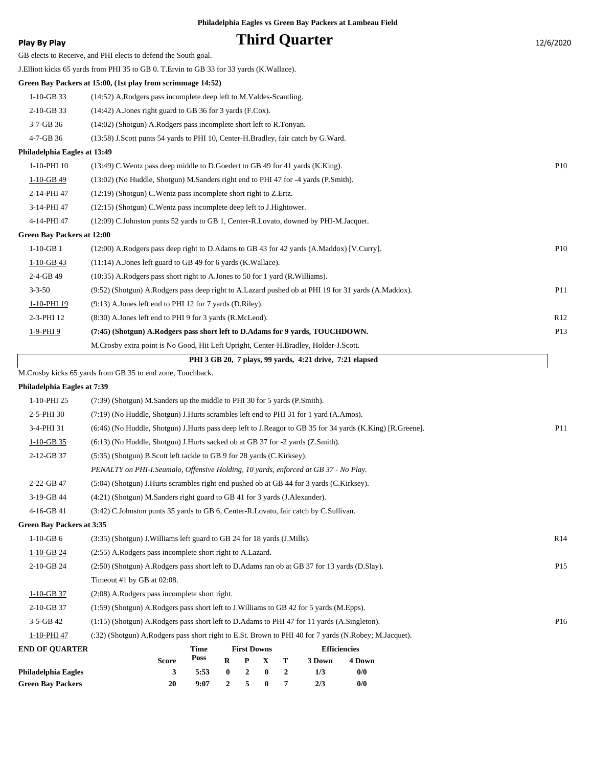| <b>Play By Play</b>               |                                                                                                           |              |                  |                       |                                 |        | <b>Third Quarter</b>                                     |                     |               | 12/6/2020       |
|-----------------------------------|-----------------------------------------------------------------------------------------------------------|--------------|------------------|-----------------------|---------------------------------|--------|----------------------------------------------------------|---------------------|---------------|-----------------|
|                                   | GB elects to Receive, and PHI elects to defend the South goal.                                            |              |                  |                       |                                 |        |                                                          |                     |               |                 |
|                                   | J. Elliott kicks 65 yards from PHI 35 to GB 0. T. Ervin to GB 33 for 33 yards (K. Wallace).               |              |                  |                       |                                 |        |                                                          |                     |               |                 |
|                                   | Green Bay Packers at 15:00, (1st play from scrimmage 14:52)                                               |              |                  |                       |                                 |        |                                                          |                     |               |                 |
| 1-10-GB 33                        | (14:52) A.Rodgers pass incomplete deep left to M.Valdes-Scantling.                                        |              |                  |                       |                                 |        |                                                          |                     |               |                 |
| 2-10-GB 33                        | (14:42) A.Jones right guard to GB 36 for 3 yards (F.Cox).                                                 |              |                  |                       |                                 |        |                                                          |                     |               |                 |
| 3-7-GB 36                         | (14:02) (Shotgun) A.Rodgers pass incomplete short left to R.Tonyan.                                       |              |                  |                       |                                 |        |                                                          |                     |               |                 |
| 4-7-GB 36                         | (13:58) J.Scott punts 54 yards to PHI 10, Center-H.Bradley, fair catch by G.Ward.                         |              |                  |                       |                                 |        |                                                          |                     |               |                 |
| Philadelphia Eagles at 13:49      |                                                                                                           |              |                  |                       |                                 |        |                                                          |                     |               |                 |
| 1-10-PHI 10                       | (13:49) C. Wentz pass deep middle to D. Goedert to GB 49 for 41 yards (K. King).                          |              |                  |                       |                                 |        |                                                          |                     |               | <b>P10</b>      |
| $1 - 10 - GB - 49$                | (13:02) (No Huddle, Shotgun) M.Sanders right end to PHI 47 for -4 yards (P.Smith).                        |              |                  |                       |                                 |        |                                                          |                     |               |                 |
| 2-14-PHI 47                       | $(12:19)$ (Shotgun) C. Wentz pass incomplete short right to Z. Ertz.                                      |              |                  |                       |                                 |        |                                                          |                     |               |                 |
| 3-14-PHI 47                       | (12:15) (Shotgun) C. Wentz pass incomplete deep left to J. Hightower.                                     |              |                  |                       |                                 |        |                                                          |                     |               |                 |
| 4-14-PHI 47                       | (12:09) C.Johnston punts 52 yards to GB 1, Center-R.Lovato, downed by PHI-M.Jacquet.                      |              |                  |                       |                                 |        |                                                          |                     |               |                 |
| <b>Green Bay Packers at 12:00</b> |                                                                                                           |              |                  |                       |                                 |        |                                                          |                     |               |                 |
| $1-10-GB$ 1                       | (12:00) A.Rodgers pass deep right to D.Adams to GB 43 for 42 yards (A.Maddox) [V.Curry].                  |              |                  |                       |                                 |        |                                                          |                     |               | <b>P10</b>      |
| $1 - 10 - GB - 43$                | $(11:14)$ A. Jones left guard to GB 49 for 6 yards (K. Wallace).                                          |              |                  |                       |                                 |        |                                                          |                     |               |                 |
| $2-4-GB$ 49                       | $(10:35)$ A.Rodgers pass short right to A.Jones to 50 for 1 yard (R.Williams).                            |              |                  |                       |                                 |        |                                                          |                     |               |                 |
| $3 - 3 - 50$                      | (9:52) (Shotgun) A.Rodgers pass deep right to A.Lazard pushed ob at PHI 19 for 31 yards (A.Maddox).       |              |                  |                       |                                 |        |                                                          |                     |               | <b>P11</b>      |
| 1-10-PHI 19                       | (9:13) A. Jones left end to PHI 12 for 7 yards (D. Riley).                                                |              |                  |                       |                                 |        |                                                          |                     |               |                 |
| 2-3-PHI 12                        | (8:30) A.Jones left end to PHI 9 for 3 yards (R.McLeod).                                                  |              |                  |                       |                                 |        |                                                          |                     |               | R12             |
| 1-9-PHI 9                         | (7:45) (Shotgun) A.Rodgers pass short left to D.Adams for 9 yards, TOUCHDOWN.                             |              |                  |                       |                                 |        |                                                          |                     |               | P13             |
|                                   | M.Crosby extra point is No Good, Hit Left Upright, Center-H.Bradley, Holder-J.Scott.                      |              |                  |                       |                                 |        |                                                          |                     |               |                 |
|                                   |                                                                                                           |              |                  |                       |                                 |        | PHI 3 GB 20, 7 plays, 99 yards, 4:21 drive, 7:21 elapsed |                     |               |                 |
|                                   | M.Crosby kicks 65 yards from GB 35 to end zone, Touchback.                                                |              |                  |                       |                                 |        |                                                          |                     |               |                 |
| Philadelphia Eagles at 7:39       |                                                                                                           |              |                  |                       |                                 |        |                                                          |                     |               |                 |
| 1-10-PHI 25                       | (7:39) (Shotgun) M.Sanders up the middle to PHI 30 for 5 yards (P.Smith).                                 |              |                  |                       |                                 |        |                                                          |                     |               |                 |
| 2-5-PHI 30                        | (7:19) (No Huddle, Shotgun) J.Hurts scrambles left end to PHI 31 for 1 yard (A.Amos).                     |              |                  |                       |                                 |        |                                                          |                     |               |                 |
| 3-4-PHI 31                        | (6:46) (No Huddle, Shotgun) J.Hurts pass deep left to J.Reagor to GB 35 for 34 yards (K.King) [R.Greene]. |              |                  |                       |                                 |        |                                                          |                     |               | P11             |
| $1-10-GB$ 35                      | (6:13) (No Huddle, Shotgun) J.Hurts sacked ob at GB 37 for -2 yards (Z.Smith).                            |              |                  |                       |                                 |        |                                                          |                     |               |                 |
| 2-12-GB 37                        | (5:35) (Shotgun) B.Scott left tackle to GB 9 for 28 yards (C.Kirksey).                                    |              |                  |                       |                                 |        |                                                          |                     |               |                 |
|                                   | PENALTY on PHI-I.Seumalo, Offensive Holding, 10 yards, enforced at GB 37 - No Play.                       |              |                  |                       |                                 |        |                                                          |                     |               |                 |
| 2-22-GB 47                        | (5:04) (Shotgun) J.Hurts scrambles right end pushed ob at GB 44 for 3 yards (C.Kirksey).                  |              |                  |                       |                                 |        |                                                          |                     |               |                 |
| 3-19-GB 44                        | (4:21) (Shotgun) M.Sanders right guard to GB 41 for 3 yards (J.Alexander).                                |              |                  |                       |                                 |        |                                                          |                     |               |                 |
| 4-16-GB 41                        | (3:42) C.Johnston punts 35 yards to GB 6, Center-R.Lovato, fair catch by C.Sullivan.                      |              |                  |                       |                                 |        |                                                          |                     |               |                 |
| <b>Green Bay Packers at 3:35</b>  |                                                                                                           |              |                  |                       |                                 |        |                                                          |                     |               |                 |
| $1-10$ -GB $6$                    | (3:35) (Shotgun) J. Williams left guard to GB 24 for 18 yards (J. Mills).                                 |              |                  |                       |                                 |        |                                                          |                     |               | R14             |
| $1-10-GB$ 24                      | (2:55) A.Rodgers pass incomplete short right to A.Lazard.                                                 |              |                  |                       |                                 |        |                                                          |                     |               |                 |
| 2-10-GB 24                        | (2:50) (Shotgun) A.Rodgers pass short left to D.Adams ran ob at GB 37 for 13 yards (D.Slay).              |              |                  |                       |                                 |        |                                                          |                     |               | P <sub>15</sub> |
|                                   | Timeout #1 by GB at 02:08.                                                                                |              |                  |                       |                                 |        |                                                          |                     |               |                 |
| $1-10-GB$ 37                      | (2:08) A.Rodgers pass incomplete short right.                                                             |              |                  |                       |                                 |        |                                                          |                     |               |                 |
| 2-10-GB 37                        | (1:59) (Shotgun) A.Rodgers pass short left to J.Williams to GB 42 for 5 yards (M.Epps).                   |              |                  |                       |                                 |        |                                                          |                     |               |                 |
| $3-5-GB$ 42                       | (1:15) (Shotgun) A.Rodgers pass short left to D.Adams to PHI 47 for 11 yards (A.Singleton).               |              |                  |                       |                                 |        |                                                          |                     |               | P <sub>16</sub> |
| 1-10-PHI 47                       | (:32) (Shotgun) A.Rodgers pass short right to E.St. Brown to PHI 40 for 7 yards (N.Robey; M.Jacquet).     |              |                  |                       |                                 |        |                                                          |                     |               |                 |
| <b>END OF QUARTER</b>             |                                                                                                           | Time<br>Poss |                  | <b>First Downs</b>    |                                 |        |                                                          | <b>Efficiencies</b> |               |                 |
| Philadelphia Eagles               | Score<br>3                                                                                                | 5:53         | R<br>$\bf{0}$    | P<br>$\boldsymbol{2}$ | $\mathbf X$<br>$\boldsymbol{0}$ | Т<br>2 | 3 Down<br>1/3                                            |                     | 4 Down<br>0/0 |                 |
| <b>Green Bay Packers</b>          | 20                                                                                                        | 9:07         | $\boldsymbol{2}$ | 5                     | $\boldsymbol{0}$                | 7      | 2/3                                                      |                     | 0/0           |                 |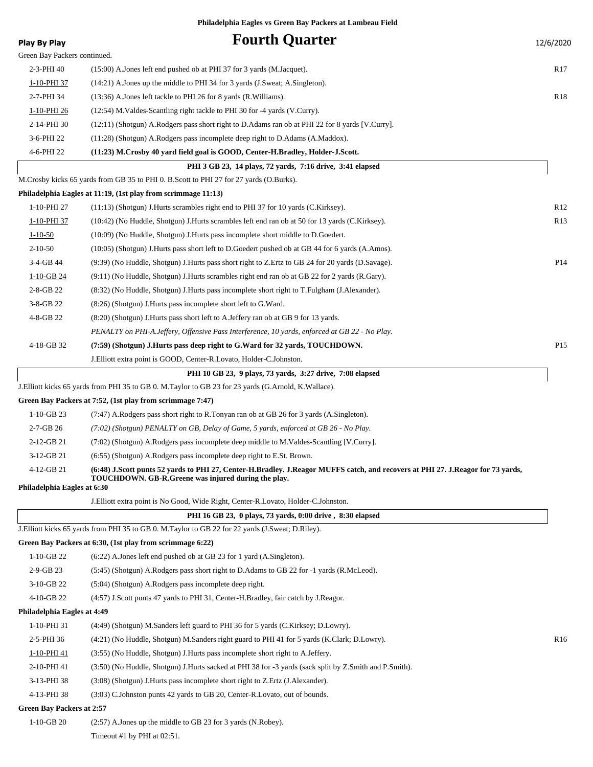| <b>Play By Play</b>                        | <b>Fourth Quarter</b>                                                                                                                                                                  | 12/6/2020       |
|--------------------------------------------|----------------------------------------------------------------------------------------------------------------------------------------------------------------------------------------|-----------------|
| Green Bay Packers continued.               |                                                                                                                                                                                        |                 |
| 2-3-PHI 40                                 | (15:00) A. Jones left end pushed ob at PHI 37 for 3 yards (M. Jacquet).                                                                                                                | R <sub>17</sub> |
| 1-10-PHI 37                                | $(14:21)$ A. Jones up the middle to PHI 34 for 3 yards (J. Sweat; A. Singleton).                                                                                                       |                 |
| 2-7-PHI 34                                 | (13:36) A. Jones left tackle to PHI 26 for 8 yards (R. Williams).                                                                                                                      | R <sub>18</sub> |
| 1-10-PHI 26                                | (12:54) M. Valdes-Scantling right tackle to PHI 30 for -4 yards (V. Curry).                                                                                                            |                 |
| 2-14-PHI 30                                | (12:11) (Shotgun) A.Rodgers pass short right to D.Adams ran ob at PHI 22 for 8 yards [V.Curry].                                                                                        |                 |
| 3-6-PHI 22                                 | (11:28) (Shotgun) A.Rodgers pass incomplete deep right to D.Adams (A.Maddox).                                                                                                          |                 |
| 4-6-PHI 22                                 | (11:23) M.Crosby 40 yard field goal is GOOD, Center-H.Bradley, Holder-J.Scott.                                                                                                         |                 |
|                                            | PHI 3 GB 23, 14 plays, 72 yards, 7:16 drive, 3:41 elapsed                                                                                                                              |                 |
|                                            | M.Crosby kicks 65 yards from GB 35 to PHI 0. B.Scott to PHI 27 for 27 yards (O.Burks).                                                                                                 |                 |
|                                            | Philadelphia Eagles at 11:19, (1st play from scrimmage 11:13)                                                                                                                          |                 |
| 1-10-PHI 27                                | $(11:13)$ (Shotgun) J. Hurts scrambles right end to PHI 37 for 10 yards (C. Kirksey).                                                                                                  | R12             |
| 1-10-PHI 37                                | (10:42) (No Huddle, Shotgun) J. Hurts scrambles left end ran ob at 50 for 13 yards (C. Kirksey).                                                                                       | R13             |
| $1 - 10 - 50$                              | (10:09) (No Huddle, Shotgun) J.Hurts pass incomplete short middle to D.Goedert.                                                                                                        |                 |
| $2 - 10 - 50$                              | (10:05) (Shotgun) J.Hurts pass short left to D.Goedert pushed ob at GB 44 for 6 yards (A.Amos).                                                                                        |                 |
| 3-4-GB 44                                  | (9:39) (No Huddle, Shotgun) J.Hurts pass short right to Z.Ertz to GB 24 for 20 yards (D.Savage).                                                                                       | P14             |
| $1-10-GB$ 24                               | $(9:11)$ (No Huddle, Shotgun) J.Hurts scrambles right end ran ob at GB 22 for 2 yards (R.Gary).                                                                                        |                 |
| 2-8-GB 22                                  | (8:32) (No Huddle, Shotgun) J.Hurts pass incomplete short right to T.Fulgham (J.Alexander).                                                                                            |                 |
| 3-8-GB 22                                  | (8:26) (Shotgun) J.Hurts pass incomplete short left to G.Ward.                                                                                                                         |                 |
| 4-8-GB 22                                  | (8.20) (Shotgun) J. Hurts pass short left to A. Jeffery ran ob at GB 9 for 13 yards.                                                                                                   |                 |
|                                            | PENALTY on PHI-A.Jeffery, Offensive Pass Interference, 10 yards, enforced at GB 22 - No Play.                                                                                          |                 |
| 4-18-GB 32                                 | (7:59) (Shotgun) J.Hurts pass deep right to G.Ward for 32 yards, TOUCHDOWN.                                                                                                            | P <sub>15</sub> |
|                                            | J. Elliott extra point is GOOD, Center-R. Lovato, Holder-C. Johnston.                                                                                                                  |                 |
|                                            | PHI 10 GB 23, 9 plays, 73 yards, 3:27 drive, 7:08 elapsed                                                                                                                              |                 |
|                                            | J. Elliott kicks 65 yards from PHI 35 to GB 0. M. Taylor to GB 23 for 23 yards (G. Arnold, K. Wallace).                                                                                |                 |
|                                            | Green Bay Packers at 7:52, (1st play from scrimmage 7:47)                                                                                                                              |                 |
| $1-10-GB$ 23                               | (7.47) A.Rodgers pass short right to R.Tonyan ran ob at GB 26 for 3 yards (A.Singleton).                                                                                               |                 |
| 2-7-GB 26                                  | $(7.02)$ (Shotgun) PENALTY on GB, Delay of Game, 5 yards, enforced at GB 26 - No Play.                                                                                                 |                 |
| 2-12-GB 21                                 | (7:02) (Shotgun) A.Rodgers pass incomplete deep middle to M.Valdes-Scantling [V.Curry].                                                                                                |                 |
| $3-12-GB$ 21                               | (6:55) (Shotgun) A.Rodgers pass incomplete deep right to E.St. Brown.                                                                                                                  |                 |
| $4-12-GB21$<br>Philadelphia Eagles at 6:30 | (6:48) J.Scott punts 52 yards to PHI 27, Center-H.Bradley. J.Reagor MUFFS catch, and recovers at PHI 27. J.Reagor for 73 yards,<br>TOUCHDOWN. GB-R.Greene was injured during the play. |                 |
|                                            | J. Elliott extra point is No Good, Wide Right, Center-R. Lovato, Holder-C. Johnston.                                                                                                   |                 |
|                                            | PHI 16 GB 23, 0 plays, 73 yards, 0:00 drive, 8:30 elapsed                                                                                                                              |                 |
|                                            | J. Elliott kicks 65 yards from PHI 35 to GB 0. M. Taylor to GB 22 for 22 yards (J. Sweat; D. Riley).                                                                                   |                 |
|                                            | Green Bay Packers at 6:30, (1st play from scrimmage 6:22)                                                                                                                              |                 |
| $1-10-GB$ 22                               | (6:22) A. Jones left end pushed ob at GB 23 for 1 yard (A. Singleton).                                                                                                                 |                 |
| 2-9-GB 23                                  | (5:45) (Shotgun) A.Rodgers pass short right to D.Adams to GB 22 for -1 yards (R.McLeod).                                                                                               |                 |
| 3-10-GB 22                                 | (5:04) (Shotgun) A.Rodgers pass incomplete deep right.                                                                                                                                 |                 |
| 4-10-GB 22                                 | (4:57) J.Scott punts 47 yards to PHI 31, Center-H.Bradley, fair catch by J.Reagor.                                                                                                     |                 |
| Philadelphia Eagles at 4:49                |                                                                                                                                                                                        |                 |
| 1-10-PHI 31                                | (4:49) (Shotgun) M.Sanders left guard to PHI 36 for 5 yards (C.Kirksey; D.Lowry).                                                                                                      |                 |
| 2-5-PHI 36                                 | (4:21) (No Huddle, Shotgun) M.Sanders right guard to PHI 41 for 5 yards (K.Clark; D.Lowry).                                                                                            | R <sub>16</sub> |
| 1-10-PHI 41                                | (3:55) (No Huddle, Shotgun) J. Hurts pass incomplete short right to A. Jeffery.                                                                                                        |                 |
| 2-10-PHI 41                                | (3:50) (No Huddle, Shotgun) J.Hurts sacked at PHI 38 for -3 yards (sack split by Z.Smith and P.Smith).                                                                                 |                 |
| 3-13-PHI 38                                | (3:08) (Shotgun) J.Hurts pass incomplete short right to Z.Ertz (J.Alexander).                                                                                                          |                 |
| 4-13-PHI 38                                | (3:03) C.Johnston punts 42 yards to GB 20, Center-R.Lovato, out of bounds.                                                                                                             |                 |
| <b>Green Bay Packers at 2:57</b>           |                                                                                                                                                                                        |                 |
| $1-10-GB$ 20                               | (2:57) A. Jones up the middle to GB 23 for 3 yards (N. Robey).                                                                                                                         |                 |
|                                            | Timeout #1 by PHI at 02:51.                                                                                                                                                            |                 |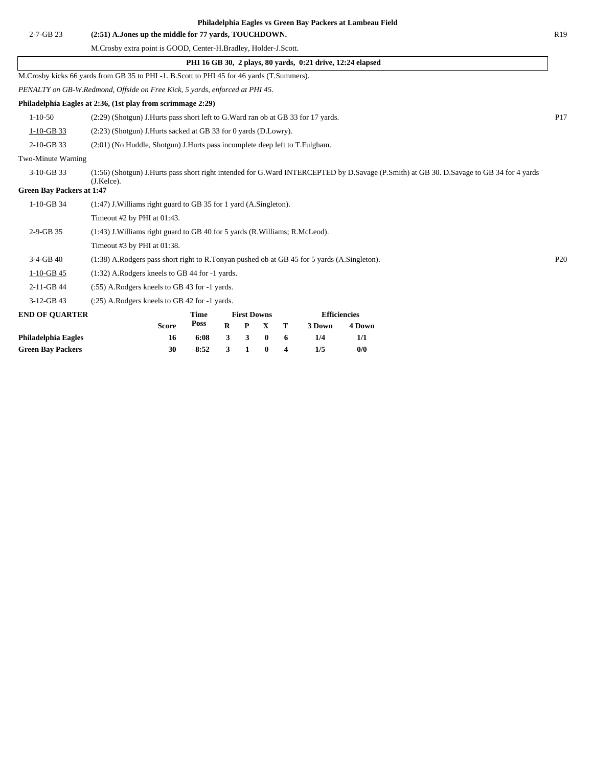|                                  |                                                                                             |             |          |                    |          |   | Philadelphia Eagles vs Green Bay Packers at Lambeau Field  |                     |                                                                                                                                         |                 |
|----------------------------------|---------------------------------------------------------------------------------------------|-------------|----------|--------------------|----------|---|------------------------------------------------------------|---------------------|-----------------------------------------------------------------------------------------------------------------------------------------|-----------------|
| 2-7-GB 23                        | (2:51) A.Jones up the middle for 77 yards, TOUCHDOWN.                                       |             |          |                    |          |   |                                                            |                     |                                                                                                                                         | R <sub>19</sub> |
|                                  | M.Crosby extra point is GOOD, Center-H.Bradley, Holder-J.Scott.                             |             |          |                    |          |   |                                                            |                     |                                                                                                                                         |                 |
|                                  |                                                                                             |             |          |                    |          |   | PHI 16 GB 30, 2 plays, 80 yards, 0:21 drive, 12:24 elapsed |                     |                                                                                                                                         |                 |
|                                  | M.Crosby kicks 66 yards from GB 35 to PHI -1. B.Scott to PHI 45 for 46 yards (T.Summers).   |             |          |                    |          |   |                                                            |                     |                                                                                                                                         |                 |
|                                  | PENALTY on GB-W.Redmond, Offside on Free Kick, 5 yards, enforced at PHI 45.                 |             |          |                    |          |   |                                                            |                     |                                                                                                                                         |                 |
|                                  | Philadelphia Eagles at 2:36, (1st play from scrimmage 2:29)                                 |             |          |                    |          |   |                                                            |                     |                                                                                                                                         |                 |
| $1 - 10 - 50$                    | (2:29) (Shotgun) J.Hurts pass short left to G.Ward ran ob at GB 33 for 17 yards.            |             |          |                    |          |   |                                                            |                     | P17                                                                                                                                     |                 |
| $1-10-GB$ 33                     | (2:23) (Shotgun) J.Hurts sacked at GB 33 for 0 yards (D.Lowry).                             |             |          |                    |          |   |                                                            |                     |                                                                                                                                         |                 |
| 2-10-GB 33                       | (2:01) (No Huddle, Shotgun) J. Hurts pass incomplete deep left to T. Fulgham.               |             |          |                    |          |   |                                                            |                     |                                                                                                                                         |                 |
| Two-Minute Warning               |                                                                                             |             |          |                    |          |   |                                                            |                     |                                                                                                                                         |                 |
| 3-10-GB 33                       | $(J.Kelce)$ .                                                                               |             |          |                    |          |   |                                                            |                     | (1:56) (Shotgun) J.Hurts pass short right intended for G.Ward INTERCEPTED by D.Savage (P.Smith) at GB 30. D.Savage to GB 34 for 4 yards |                 |
| <b>Green Bay Packers at 1:47</b> |                                                                                             |             |          |                    |          |   |                                                            |                     |                                                                                                                                         |                 |
| 1-10-GB 34                       | (1:47) J. Williams right guard to GB 35 for 1 yard (A. Singleton).                          |             |          |                    |          |   |                                                            |                     |                                                                                                                                         |                 |
|                                  | Timeout #2 by PHI at 01:43.                                                                 |             |          |                    |          |   |                                                            |                     |                                                                                                                                         |                 |
| 2-9-GB 35                        | (1:43) J. Williams right guard to GB 40 for 5 yards (R. Williams; R. McLeod).               |             |          |                    |          |   |                                                            |                     |                                                                                                                                         |                 |
|                                  | Timeout #3 by PHI at 01:38.                                                                 |             |          |                    |          |   |                                                            |                     |                                                                                                                                         |                 |
| $3-4-GB$ 40                      | (1:38) A.Rodgers pass short right to R.Tonyan pushed ob at GB 45 for 5 yards (A.Singleton). |             |          |                    |          |   |                                                            |                     |                                                                                                                                         | P <sub>20</sub> |
| $1-10-GB$ 45                     | (1:32) A.Rodgers kneels to GB 44 for -1 yards.                                              |             |          |                    |          |   |                                                            |                     |                                                                                                                                         |                 |
| 2-11-GB 44                       | (:55) A.Rodgers kneels to GB 43 for -1 yards.                                               |             |          |                    |          |   |                                                            |                     |                                                                                                                                         |                 |
| 3-12-GB 43                       | $(.25)$ A.Rodgers kneels to GB 42 for $-1$ yards.                                           |             |          |                    |          |   |                                                            |                     |                                                                                                                                         |                 |
| <b>END OF QUARTER</b>            |                                                                                             | Time        |          | <b>First Downs</b> |          |   |                                                            | <b>Efficiencies</b> |                                                                                                                                         |                 |
|                                  | <b>Score</b>                                                                                | <b>Poss</b> | $\bf{R}$ | P                  | X        | т | 3 Down                                                     | 4 Down              |                                                                                                                                         |                 |
| Philadelphia Eagles              | 16                                                                                          | 6:08        | 3        | 3                  | $\bf{0}$ | 6 | 1/4                                                        | 1/1                 |                                                                                                                                         |                 |
| <b>Green Bay Packers</b>         | 30                                                                                          | 8:52        | 3        | 1                  | $\bf{0}$ | 4 | 1/5                                                        | 0/0                 |                                                                                                                                         |                 |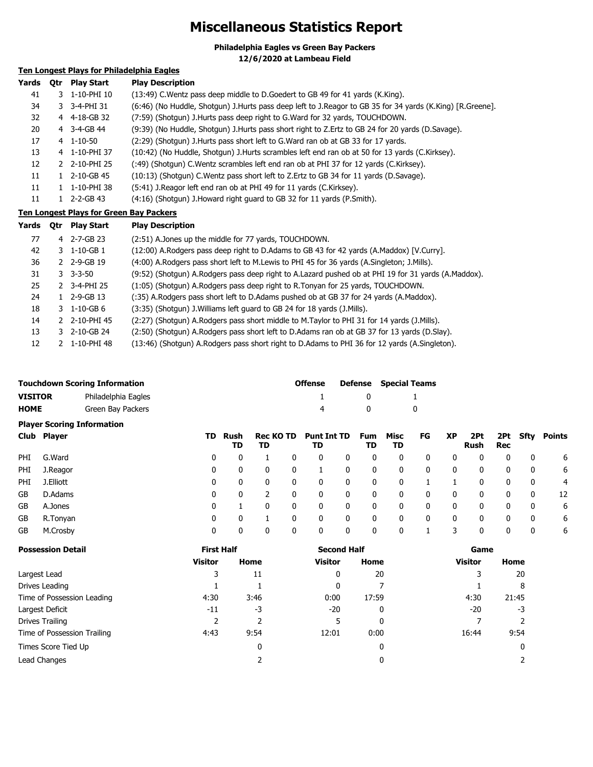# **Miscellaneous Statistics Report**

**Philadelphia Eagles vs Green Bay Packers**

**12/6/2020 at Lambeau Field**

## **Ten Longest Plays for Philadelphia Eagles**

| Yards | 0tr | <b>Play Start</b>    | <b>Play Description</b>                                                                                   |
|-------|-----|----------------------|-----------------------------------------------------------------------------------------------------------|
| 41    |     | 3 1-10-PHI 10        | (13:49) C. Wentz pass deep middle to D. Goedert to GB 49 for 41 yards (K. King).                          |
| 34    |     | 3 3-4-PHI 31         | (6:46) (No Huddle, Shotgun) J.Hurts pass deep left to J.Reagor to GB 35 for 34 yards (K.King) [R.Greene]. |
| 32    |     | 4 4-18-GB 32         | (7:59) (Shotgun) J. Hurts pass deep right to G. Ward for 32 yards, TOUCHDOWN.                             |
| 20    |     | 4 3-4-GB 44          | (9:39) (No Huddle, Shotgun) J.Hurts pass short right to Z.Ertz to GB 24 for 20 yards (D.Savage).          |
| 17    |     | $4$ 1-10-50          | (2:29) (Shotgun) J. Hurts pass short left to G. Ward ran ob at GB 33 for 17 yards.                        |
| 13    |     | 4 1-10-PHI 37        | (10:42) (No Huddle, Shotgun) J.Hurts scrambles left end ran ob at 50 for 13 yards (C.Kirksey).            |
| 12    |     | 2 2-10-PHI 25        | (:49) (Shotgun) C.Wentz scrambles left end ran ob at PHI 37 for 12 yards (C.Kirksey).                     |
| 11    |     | $1\quad 2-10$ -GB 45 | (10:13) (Shotgun) C. Wentz pass short left to Z. Ertz to GB 34 for 11 yards (D. Savage).                  |
| 11    |     | 1-10-PHI 38          | (5:41) J.Reagor left end ran ob at PHI 49 for 11 yards (C.Kirksey).                                       |
| 11    |     | 2-2-GB 43            | (4:16) (Shotgun) J.Howard right guard to GB 32 for 11 yards (P.Smith).                                    |

**Ten Longest Plays for Green Bay Packers**

| Yards | 0tr | <b>Play Start</b>      | <b>Play Description</b>                                                                             |
|-------|-----|------------------------|-----------------------------------------------------------------------------------------------------|
| 77    |     | 4 2-7-GB 23            | (2:51) A.Jones up the middle for 77 yards, TOUCHDOWN.                                               |
| 42    |     | $3 \quad 1 - 10 - GB1$ | (12:00) A.Rodgers pass deep right to D.Adams to GB 43 for 42 yards (A.Maddox) [V.Curry].            |
| 36    |     | 2 2-9-GB 19            | (4:00) A.Rodgers pass short left to M.Lewis to PHI 45 for 36 yards (A.Singleton; J.Mills).          |
| 31    |     | $3 - 3 - 50$           | (9:52) (Shotgun) A.Rodgers pass deep right to A.Lazard pushed ob at PHI 19 for 31 yards (A.Maddox). |
| 25    |     | 2 3-4-PHI 25           | (1:05) (Shotgun) A. Rodgers pass deep right to R. Tonyan for 25 yards, TOUCHDOWN.                   |
| 24    |     | $1$ 2-9-GB 13          | (:35) A.Rodgers pass short left to D.Adams pushed ob at GB 37 for 24 yards (A.Maddox).              |
| 18    |     | 3 1-10-GB 6            | (3:35) (Shotgun) J. Williams left guard to GB 24 for 18 yards (J. Mills).                           |
| 14    |     | 2 2-10-PHI 45          | (2:27) (Shotgun) A.Rodgers pass short middle to M.Taylor to PHI 31 for 14 yards (J.Mills).          |
| 13    |     | $3$ 2-10-GB 24         | (2:50) (Shotgun) A.Rodgers pass short left to D.Adams ran ob at GB 37 for 13 yards (D.Slay).        |
| 12    |     | 1-10-PHI 48            | (13:46) (Shotgun) A.Rodgers pass short right to D.Adams to PHI 36 for 12 yards (A.Singleton).       |

| <b>Touchdown Scoring Information</b> |                     | <b>Offense</b> | <b>Defense</b> Special Teams |
|--------------------------------------|---------------------|----------------|------------------------------|
| <b>VISITOR</b>                       | Philadelphia Eagles |                |                              |
| <b>HOME</b>                          | Green Bay Packers   |                |                              |

## **Player Scoring Information**

|            | Club Player | TD. | Rush<br>TD | Rec KO TD<br>TD |   | <b>Punt Int TD</b><br>TD |   | Fum<br>TD | Misc<br>TD   | FG | XP | 2Pt<br>Rush | Rec | 2Pt Sfty | Points |
|------------|-------------|-----|------------|-----------------|---|--------------------------|---|-----------|--------------|----|----|-------------|-----|----------|--------|
| PHI.       | G.Ward      | 0   | 0          |                 | 0 | 0                        | 0 | 0         | 0            | 0  | 0  | 0           | 0   | 0        | 6      |
| PHI        | J.Reagor    | 0   | 0          | 0               | 0 |                          | 0 | 0         | 0            | 0  | 0  | 0           | 0   | 0        | 6      |
| <b>PHI</b> | J.Elliott   | 0   | 0          | 0               | 0 | 0                        | 0 | 0         | 0            |    |    | 0           | 0   | 0        | 4      |
| GB         | D.Adams     | 0   | 0          |                 | 0 | 0                        | 0 | 0         | 0            | 0  | 0  | 0           | 0   | 0        | 12     |
| GB         | A.Jones     | 0   |            | 0               | 0 | 0                        | 0 | 0         | 0            | 0  | 0  | 0           | 0   | 0        | 6      |
| GB         | R.Tonyan    | 0   | 0          |                 |   |                          | 0 | 0         | $\mathbf{0}$ | 0  | 0  | 0           | 0   | 0        | 6      |
| GB         | M.Crosby    | 0   | 0          | 0               |   |                          | 0 | 0         | $\mathbf{0}$ |    |    |             | 0   | 0        | 6      |

| <b>Possession Detail</b>    | <b>First Half</b> |      | <b>Second Half</b> |       | Game           |       |  |
|-----------------------------|-------------------|------|--------------------|-------|----------------|-------|--|
|                             | <b>Visitor</b>    | Home | <b>Visitor</b>     | Home  | <b>Visitor</b> | Home  |  |
| Largest Lead                | 3                 | 11   | 0                  | 20    |                | 20    |  |
| Drives Leading              |                   |      | 0                  |       |                | 8     |  |
| Time of Possession Leading  | 4:30              | 3:46 | 0:00               | 17:59 | 4:30           | 21:45 |  |
| Largest Deficit             | $-11$             | -3   | $-20$              | 0     | $-20$          | -3    |  |
| Drives Trailing             |                   |      | 5                  | 0     |                |       |  |
| Time of Possession Trailing | 4:43              | 9:54 | 12:01              | 0:00  | 16:44          | 9:54  |  |
| Times Score Tied Up         |                   | 0    |                    | 0     |                | 0     |  |
| Lead Changes                |                   |      |                    | 0     |                |       |  |